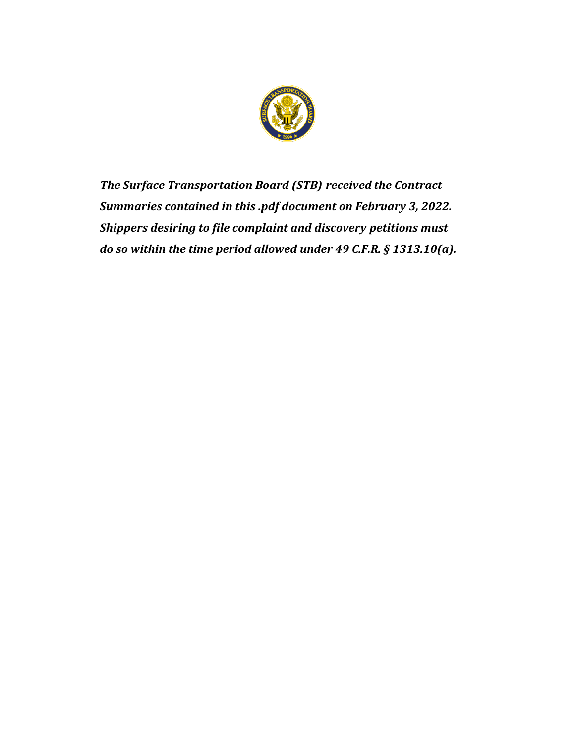

*The Surface Transportation Board (STB) received the Contract Summaries contained in this .pdf document on February 3, 2022. Shippers desiring to file complaint and discovery petitions must do so within the time period allowed under 49 C.F.R. § 1313.10(a).*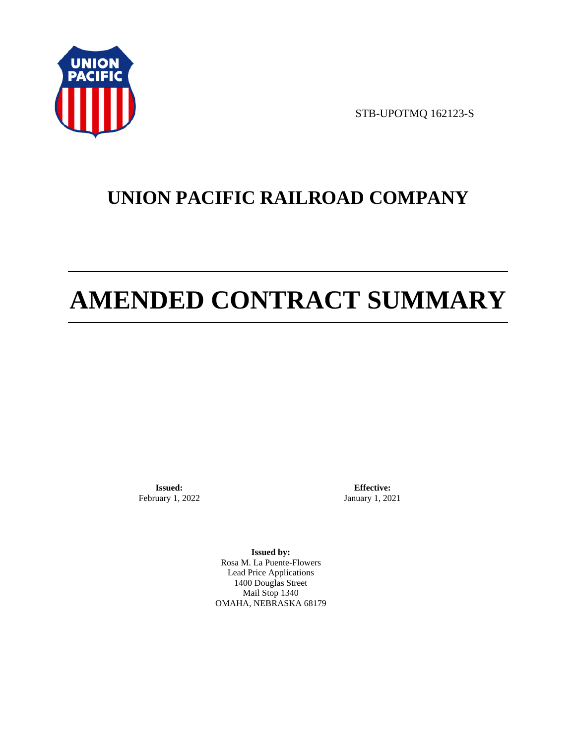

STB-UPOTMQ 162123-S

# **UNION PACIFIC RAILROAD COMPANY**

# **AMENDED CONTRACT SUMMARY**

**Issued:**  February 1, 2022

**Effective:** January 1, 2021

**Issued by:**  Rosa M. La Puente-Flowers Lead Price Applications 1400 Douglas Street Mail Stop 1340 OMAHA, NEBRASKA 68179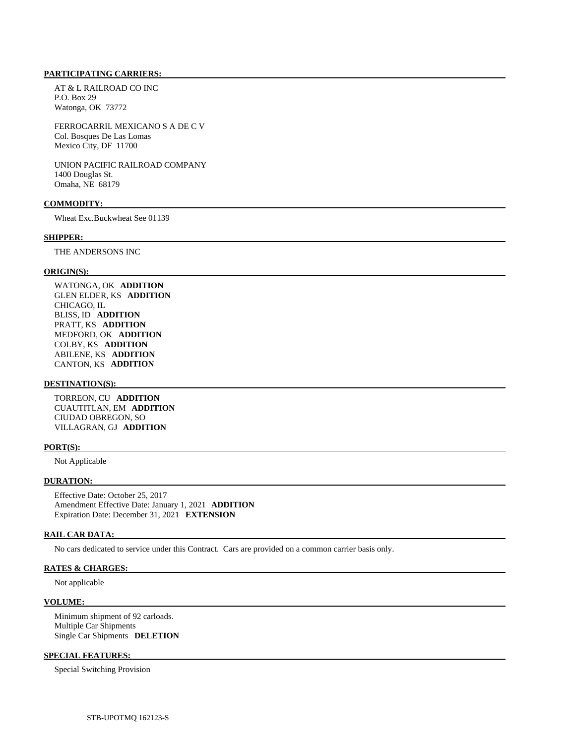#### **PARTICIPATING CARRIERS:**

 AT & L RAILROAD CO INC P.O. Box 29 Watonga, OK 73772

 FERROCARRIL MEXICANO S A DE C V Col. Bosques De Las Lomas Mexico City, DF 11700

 UNION PACIFIC RAILROAD COMPANY 1400 Douglas St. Omaha, NE 68179

## **COMMODITY:**

Wheat Exc.Buckwheat See 01139

#### **SHIPPER:**

THE ANDERSONS INC

#### **ORIGIN(S):**

 WATONGA, OK **ADDITION**  GLEN ELDER, KS **ADDITION**  CHICAGO, IL BLISS, ID **ADDITION**  PRATT, KS **ADDITION**  MEDFORD, OK **ADDITION**  COLBY, KS **ADDITION**  ABILENE, KS **ADDITION**  CANTON, KS **ADDITION** 

#### **DESTINATION(S):**

 TORREON, CU **ADDITION**  CUAUTITLAN, EM **ADDITION**  CIUDAD OBREGON, SO VILLAGRAN, GJ **ADDITION** 

#### **PORT(S):**

Not Applicable

#### **DURATION:**

 Effective Date: October 25, 2017 Amendment Effective Date: January 1, 2021 **ADDITION**  Expiration Date: December 31, 2021 **EXTENSION** 

#### **RAIL CAR DATA:**

No cars dedicated to service under this Contract. Cars are provided on a common carrier basis only.

#### **RATES & CHARGES:**

Not applicable

#### **VOLUME:**

 Minimum shipment of 92 carloads. Multiple Car Shipments Single Car Shipments **DELETION** 

#### **SPECIAL FEATURES:**

Special Switching Provision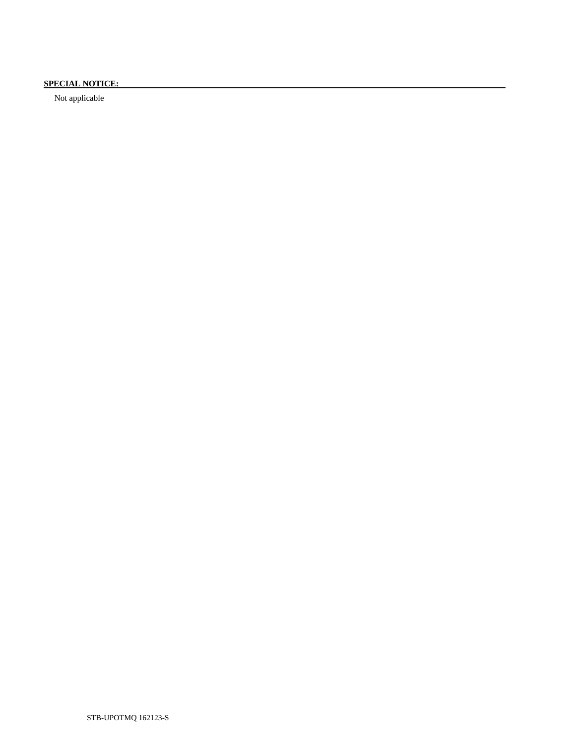# **SPECIAL NOTICE:**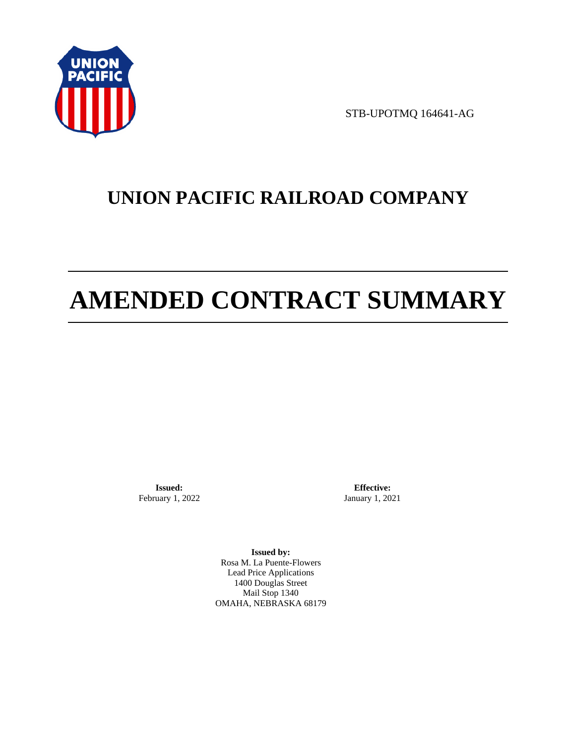

STB-UPOTMQ 164641-AG

# **UNION PACIFIC RAILROAD COMPANY**

# **AMENDED CONTRACT SUMMARY**

**Issued:**  February 1, 2022

**Effective:** January 1, 2021

**Issued by:**  Rosa M. La Puente-Flowers Lead Price Applications 1400 Douglas Street Mail Stop 1340 OMAHA, NEBRASKA 68179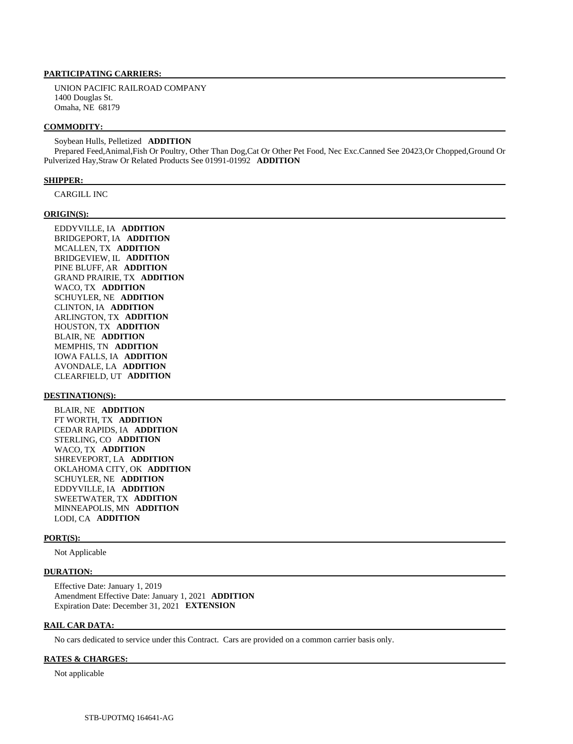#### **PARTICIPATING CARRIERS:**

 UNION PACIFIC RAILROAD COMPANY 1400 Douglas St. Omaha, NE 68179

#### **COMMODITY:**

 Soybean Hulls, Pelletized **ADDITION**  Prepared Feed,Animal,Fish Or Poultry, Other Than Dog,Cat Or Other Pet Food, Nec Exc.Canned See 20423,Or Chopped,Ground Or Pulverized Hay,Straw Or Related Products See 01991-01992 **ADDITION** 

#### **SHIPPER:**

CARGILL INC

#### **ORIGIN(S):**

 EDDYVILLE, IA **ADDITION**  BRIDGEPORT, IA **ADDITION**  MCALLEN, TX **ADDITION**  BRIDGEVIEW, IL **ADDITION**  PINE BLUFF, AR **ADDITION**  GRAND PRAIRIE, TX **ADDITION**  WACO, TX **ADDITION**  SCHUYLER, NE **ADDITION**  CLINTON, IA **ADDITION**  ARLINGTON, TX **ADDITION**  HOUSTON, TX **ADDITION**  BLAIR, NE **ADDITION**  MEMPHIS, TN **ADDITION**  IOWA FALLS, IA **ADDITION**  AVONDALE, LA **ADDITION**  CLEARFIELD, UT **ADDITION** 

#### **DESTINATION(S):**

 BLAIR, NE **ADDITION**  FT WORTH, TX **ADDITION**  CEDAR RAPIDS, IA **ADDITION**  STERLING, CO **ADDITION**  WACO, TX **ADDITION**  SHREVEPORT, LA **ADDITION**  OKLAHOMA CITY, OK **ADDITION**  SCHUYLER, NE **ADDITION**  EDDYVILLE, IA **ADDITION**  SWEETWATER, TX **ADDITION**  MINNEAPOLIS, MN **ADDITION**  LODI, CA **ADDITION** 

#### **PORT(S):**

Not Applicable

#### **DURATION:**

 Effective Date: January 1, 2019 Amendment Effective Date: January 1, 2021 **ADDITION**  Expiration Date: December 31, 2021 **EXTENSION** 

#### **RAIL CAR DATA:**

No cars dedicated to service under this Contract. Cars are provided on a common carrier basis only.

#### **RATES & CHARGES:**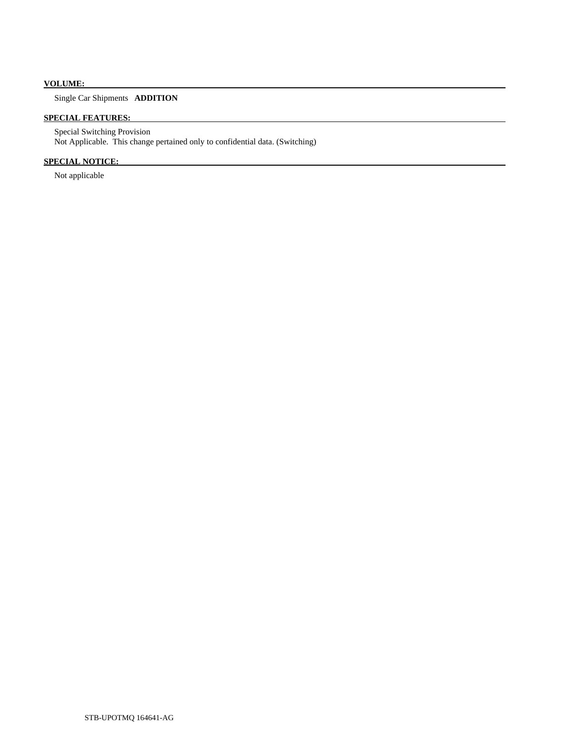# **VOLUME:**

# Single Car Shipments **ADDITION**

# **SPECIAL FEATURES:**

 Special Switching Provision Not Applicable. This change pertained only to confidential data. (Switching)

# **SPECIAL NOTICE:**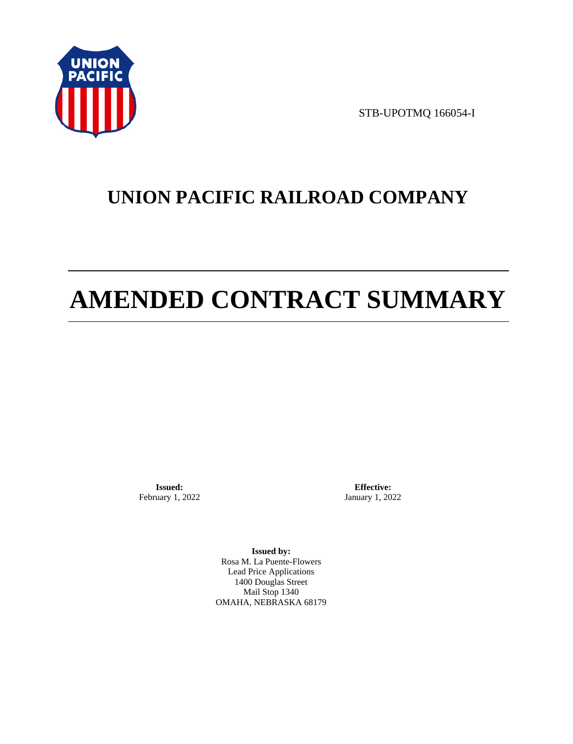

STB-UPOTMQ 166054-I

# **UNION PACIFIC RAILROAD COMPANY**

# **AMENDED CONTRACT SUMMARY**

**Issued:**  February 1, 2022

**Effective:** January 1, 2022

**Issued by:**  Rosa M. La Puente-Flowers Lead Price Applications 1400 Douglas Street Mail Stop 1340 OMAHA, NEBRASKA 68179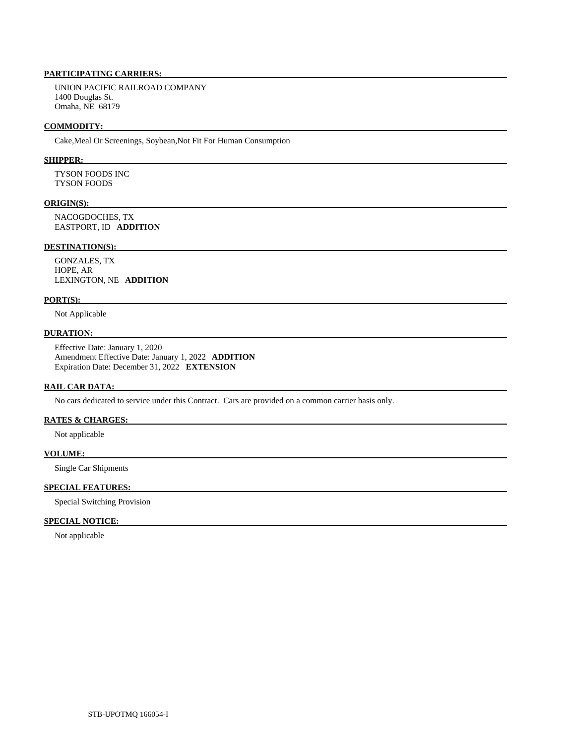# **PARTICIPATING CARRIERS:**

 UNION PACIFIC RAILROAD COMPANY 1400 Douglas St. Omaha, NE 68179

#### **COMMODITY:**

Cake,Meal Or Screenings, Soybean,Not Fit For Human Consumption

#### **SHIPPER:**

 TYSON FOODS INC TYSON FOODS

#### **ORIGIN(S):**

 NACOGDOCHES, TX EASTPORT, ID **ADDITION** 

## **DESTINATION(S):**

 GONZALES, TX HOPE, AR LEXINGTON, NE **ADDITION** 

#### **PORT(S):**

Not Applicable

### **DURATION:**

 Effective Date: January 1, 2020 Amendment Effective Date: January 1, 2022 **ADDITION**  Expiration Date: December 31, 2022 **EXTENSION** 

#### **RAIL CAR DATA:**

No cars dedicated to service under this Contract. Cars are provided on a common carrier basis only.

# **RATES & CHARGES:**

Not applicable

#### **VOLUME:**

Single Car Shipments

### **SPECIAL FEATURES:**

Special Switching Provision

## **SPECIAL NOTICE:**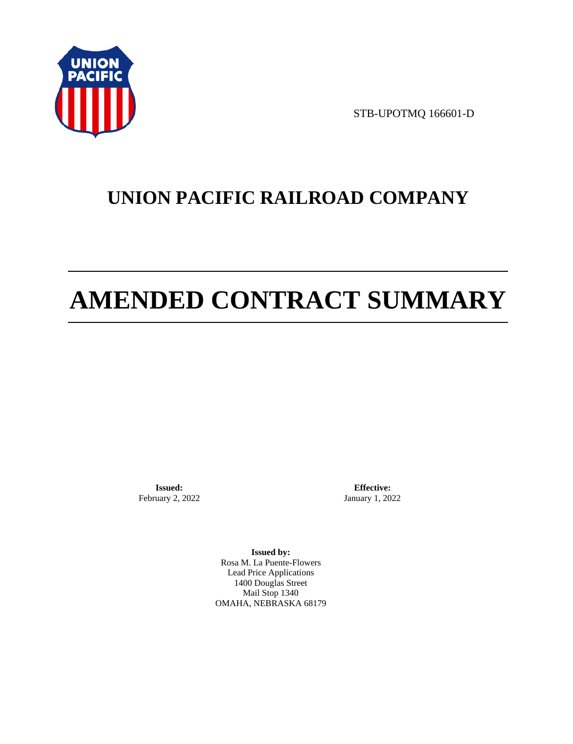

STB-UPOTMQ 166601-D

# **UNION PACIFIC RAILROAD COMPANY**

# **AMENDED CONTRACT SUMMARY**

**Issued:**  February 2, 2022

**Effective:** January 1, 2022

**Issued by:**  Rosa M. La Puente-Flowers Lead Price Applications 1400 Douglas Street Mail Stop 1340 OMAHA, NEBRASKA 68179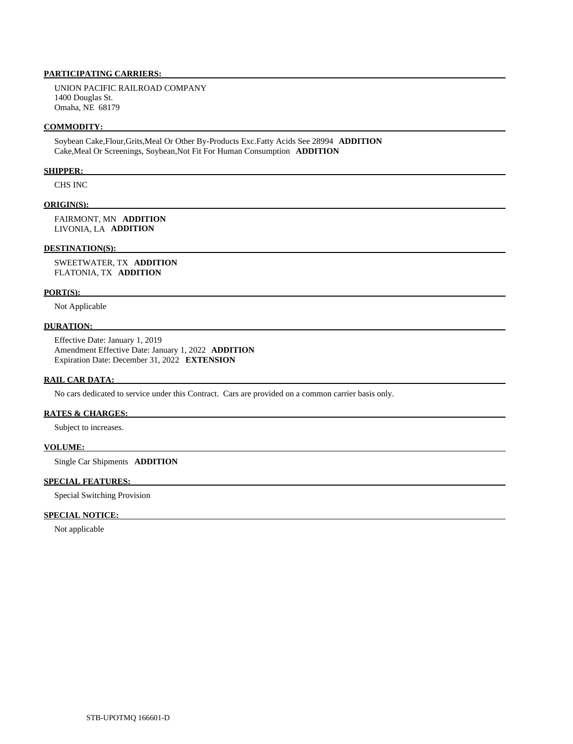### **PARTICIPATING CARRIERS:**

 UNION PACIFIC RAILROAD COMPANY 1400 Douglas St. Omaha, NE 68179

#### **COMMODITY:**

 Soybean Cake,Flour,Grits,Meal Or Other By-Products Exc.Fatty Acids See 28994 **ADDITION**  Cake,Meal Or Screenings, Soybean,Not Fit For Human Consumption **ADDITION** 

#### **SHIPPER:**

CHS INC

### **ORIGIN(S):**

 FAIRMONT, MN **ADDITION**  LIVONIA, LA **ADDITION** 

#### **DESTINATION(S):**

 SWEETWATER, TX **ADDITION**  FLATONIA, TX **ADDITION** 

#### **PORT(S):**

Not Applicable

#### **DURATION:**

 Effective Date: January 1, 2019 Amendment Effective Date: January 1, 2022 **ADDITION**  Expiration Date: December 31, 2022 **EXTENSION** 

# **RAIL CAR DATA:**

No cars dedicated to service under this Contract. Cars are provided on a common carrier basis only.

#### **RATES & CHARGES:**

Subject to increases.

#### **VOLUME:**

Single Car Shipments **ADDITION** 

#### **SPECIAL FEATURES:**

Special Switching Provision

## **SPECIAL NOTICE:**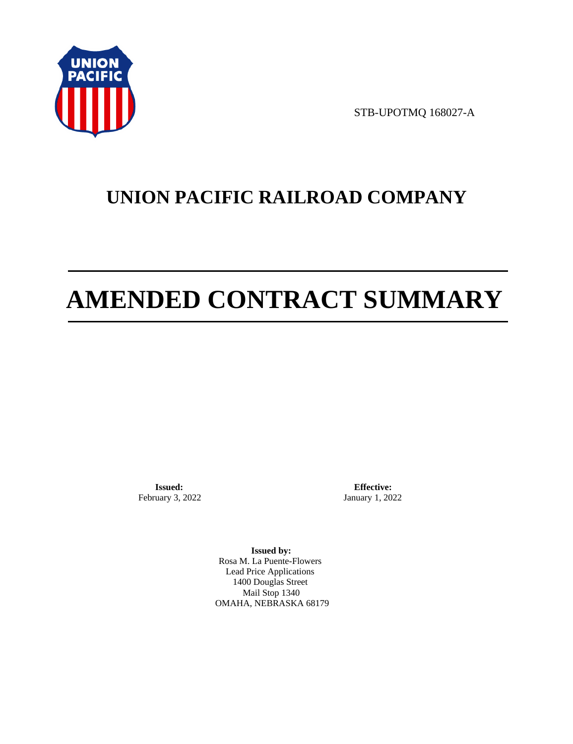

STB-UPOTMQ 168027-A

# **UNION PACIFIC RAILROAD COMPANY**

# **AMENDED CONTRACT SUMMARY**

**Issued:**  February 3, 2022

**Effective:** January 1, 2022

**Issued by:**  Rosa M. La Puente-Flowers Lead Price Applications 1400 Douglas Street Mail Stop 1340 OMAHA, NEBRASKA 68179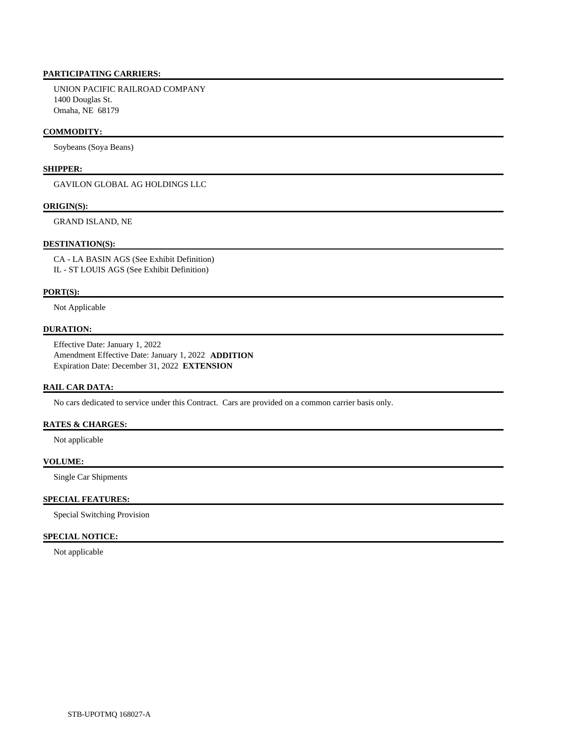## **PARTICIPATING CARRIERS:**

 UNION PACIFIC RAILROAD COMPANY 1400 Douglas St. Omaha, NE 68179

#### **COMMODITY:**

Soybeans (Soya Beans)

# **SHIPPER:**

GAVILON GLOBAL AG HOLDINGS LLC

#### **ORIGIN(S):**

GRAND ISLAND, NE

#### **DESTINATION(S):**

 CA - LA BASIN AGS (See Exhibit Definition) IL - ST LOUIS AGS (See Exhibit Definition)

#### **PORT(S):**

Not Applicable

#### **DURATION:**

 Effective Date: January 1, 2022 Amendment Effective Date: January 1, 2022 **ADDITION**  Expiration Date: December 31, 2022 **EXTENSION** 

#### **RAIL CAR DATA:**

No cars dedicated to service under this Contract. Cars are provided on a common carrier basis only.

## **RATES & CHARGES:**

Not applicable

# **VOLUME:**

Single Car Shipments

#### **SPECIAL FEATURES:**

Special Switching Provision

### **SPECIAL NOTICE:**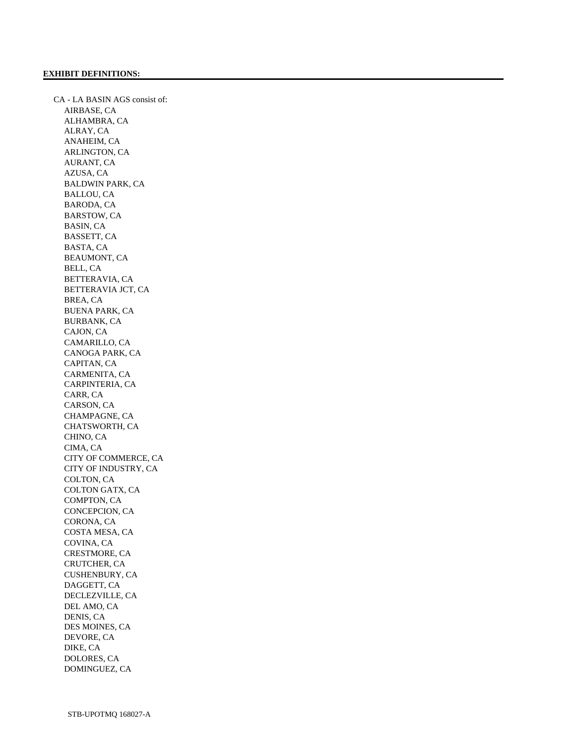CA - LA BASIN AGS consist of: AIRBASE, CA ALHAMBRA, CA ALRAY, CA ANAHEIM, CA ARLINGTON, CA AURANT, CA AZUSA, CA BALDWIN PARK, CA BALLOU, CA BARODA, CA BARSTOW, CA BASIN, CA BASSETT, CA BASTA, CA BEAUMONT, CA BELL, CA BETTERAVIA, CA BETTERAVIA JCT, CA BREA, CA BUENA PARK, CA BURBANK, CA CAJON, CA CAMARILLO, CA CANOGA PARK, CA CAPITAN, CA CARMENITA, CA CARPINTERIA, CA CARR, CA CARSON, CA CHAMPAGNE, CA CHATSWORTH, CA CHINO, CA CIMA, CA CITY OF COMMERCE, CA CITY OF INDUSTRY, CA COLTON, CA COLTON GATX, CA COMPTON, CA CONCEPCION, CA CORONA, CA COSTA MESA, CA COVINA, CA CRESTMORE, CA CRUTCHER, CA CUSHENBURY, CA DAGGETT, CA DECLEZVILLE, CA DEL AMO, CA DENIS, CA DES MOINES, CA DEVORE, CA DIKE, CA DOLORES, CA DOMINGUEZ, CA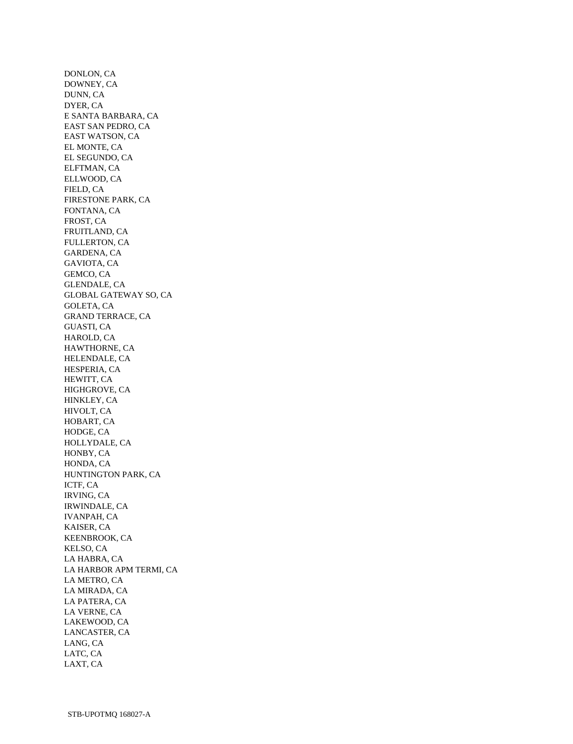DONLON, CA DOWNEY, CA DUNN, CA DYER, CA E SANTA BARBARA, CA EAST SAN PEDRO, CA EAST WATSON, CA EL MONTE, CA EL SEGUNDO, CA ELFTMAN, CA ELLWOOD, CA FIELD, CA FIRESTONE PARK, CA FONTANA, CA FROST, CA FRUITLAND, CA FULLERTON, CA GARDENA, CA GAVIOTA, CA GEMCO, CA GLENDALE, CA GLOBAL GATEWAY SO, CA GOLETA, CA GRAND TERRACE, CA GUASTI, CA HAROLD, CA HAWTHORNE, CA HELENDALE, CA HESPERIA, CA HEWITT, CA HIGHGROVE, CA HINKLEY, CA HIVOLT, CA HOBART, CA HODGE, CA HOLLYDALE, CA HONBY, CA HONDA, CA HUNTINGTON PARK, CA ICTF, CA IRVING, CA IRWINDALE, CA IVANPAH, CA KAISER, CA KEENBROOK, CA KELSO, CA LA HABRA, CA LA HARBOR APM TERMI, CA LA METRO, CA LA MIRADA, CA LA PATERA, CA LA VERNE, CA LAKEWOOD, CA LANCASTER, CA LANG, CA LATC, CA LAXT, CA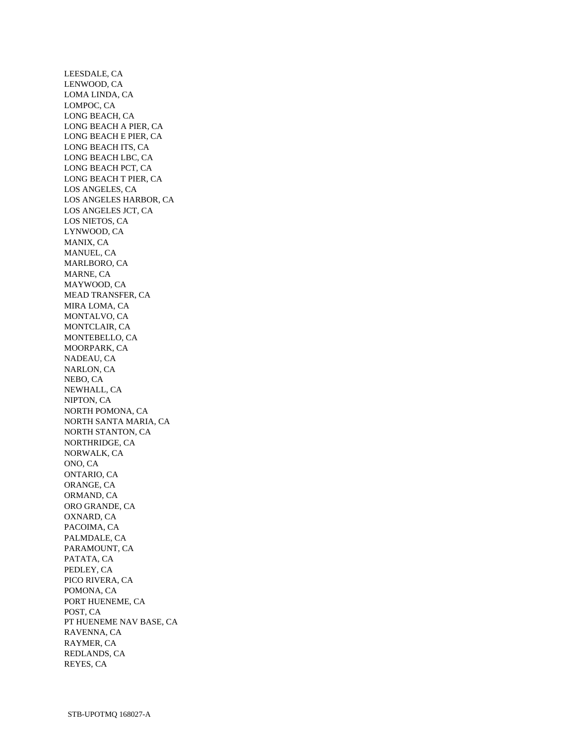LEESDALE, CA LENWOOD, CA LOMA LINDA, CA LOMPOC, CA LONG BEACH, CA LONG BEACH A PIER, CA LONG BEACH E PIER, CA LONG BEACH ITS, CA LONG BEACH LBC, CA LONG BEACH PCT, CA LONG BEACH T PIER, CA LOS ANGELES, CA LOS ANGELES HARBOR, CA LOS ANGELES JCT, CA LOS NIETOS, CA LYNWOOD, CA MANIX, CA MANUEL, CA MARLBORO, CA MARNE, CA MAYWOOD, CA MEAD TRANSFER, CA MIRA LOMA, CA MONTALVO, CA MONTCLAIR, CA MONTEBELLO, CA MOORPARK, CA NADEAU, CA NARLON, CA NEBO, CA NEWHALL, CA NIPTON, CA NORTH POMONA, CA NORTH SANTA MARIA, CA NORTH STANTON, CA NORTHRIDGE, CA NORWALK, CA ONO, CA ONTARIO, CA ORANGE, CA ORMAND, CA ORO GRANDE, CA OXNARD, CA PACOIMA, CA PALMDALE, CA PARAMOUNT, CA PATATA, CA PEDLEY, CA PICO RIVERA, CA POMONA, CA PORT HUENEME, CA POST, CA PT HUENEME NAV BASE, CA RAVENNA, CA RAYMER, CA REDLANDS, CA REYES, CA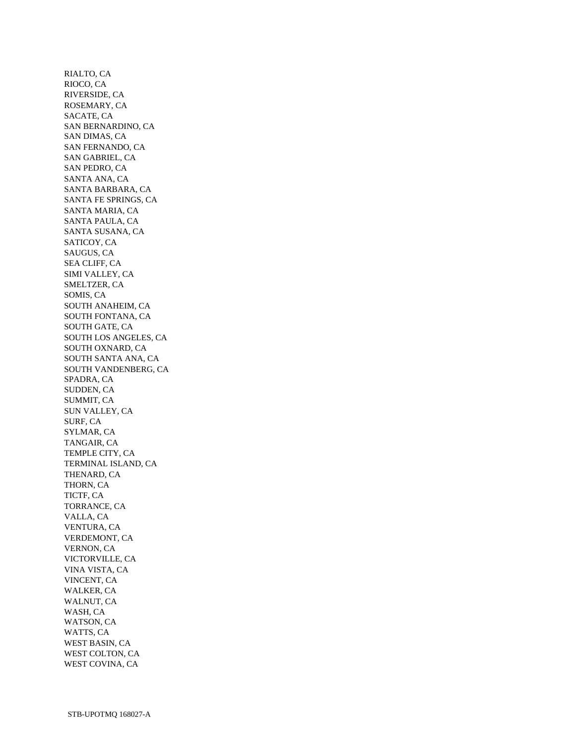RIALTO, CA RIOCO, CA RIVERSIDE, CA ROSEMARY, CA SACATE, CA SAN BERNARDINO, CA SAN DIMAS, CA SAN FERNANDO, CA SAN GABRIEL, CA SAN PEDRO, CA SANTA ANA, CA SANTA BARBARA, CA SANTA FE SPRINGS, CA SANTA MARIA, CA SANTA PAULA, CA SANTA SUSANA, CA SATICOY, CA SAUGUS, CA SEA CLIFF, CA SIMI VALLEY, CA SMELTZER, CA SOMIS, CA SOUTH ANAHEIM, CA SOUTH FONTANA, CA SOUTH GATE, CA SOUTH LOS ANGELES, CA SOUTH OXNARD, CA SOUTH SANTA ANA, CA SOUTH VANDENBERG, CA SPADRA, CA SUDDEN, CA SUMMIT, CA SUN VALLEY, CA SURF, CA SYLMAR, CA TANGAIR, CA TEMPLE CITY, CA TERMINAL ISLAND, CA THENARD, CA THORN, CA TICTF, CA TORRANCE, CA VALLA, CA VENTURA, CA VERDEMONT, CA VERNON, CA VICTORVILLE, CA VINA VISTA, CA VINCENT, CA WALKER, CA WALNUT, CA WASH, CA WATSON, CA WATTS, CA WEST BASIN, CA WEST COLTON, CA WEST COVINA, CA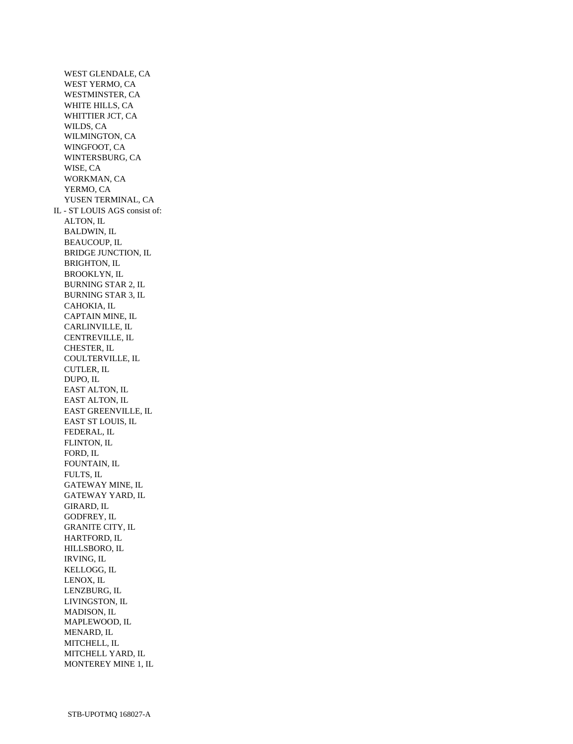WEST GLENDALE, CA WEST YERMO, CA WESTMINSTER, CA WHITE HILLS, CA WHITTIER JCT, CA WILDS, CA WILMINGTON, CA WINGFOOT, CA WINTERSBURG, CA WISE, CA WORKMAN, CA YERMO, CA YUSEN TERMINAL, CA IL - ST LOUIS AGS consist of: ALTON, IL BALDWIN, IL BEAUCOUP, IL BRIDGE JUNCTION, IL BRIGHTON, IL BROOKLYN, IL BURNING STAR 2, IL BURNING STAR 3, IL CAHOKIA, IL CAPTAIN MINE, IL CARLINVILLE, IL CENTREVILLE, IL CHESTER, IL COULTERVILLE, IL CUTLER, IL DUPO, IL EAST ALTON, IL EAST ALTON, IL EAST GREENVILLE, IL EAST ST LOUIS, IL FEDERAL, IL FLINTON, IL FORD, IL FOUNTAIN, IL FULTS, IL GATEWAY MINE, IL GATEWAY YARD, IL GIRARD, IL GODFREY, IL GRANITE CITY, IL HARTFORD, IL HILLSBORO, IL IRVING, IL KELLOGG, IL LENOX, IL LENZBURG, IL LIVINGSTON, IL MADISON, IL MAPLEWOOD, IL MENARD, IL MITCHELL, IL MITCHELL YARD, IL MONTEREY MINE 1, IL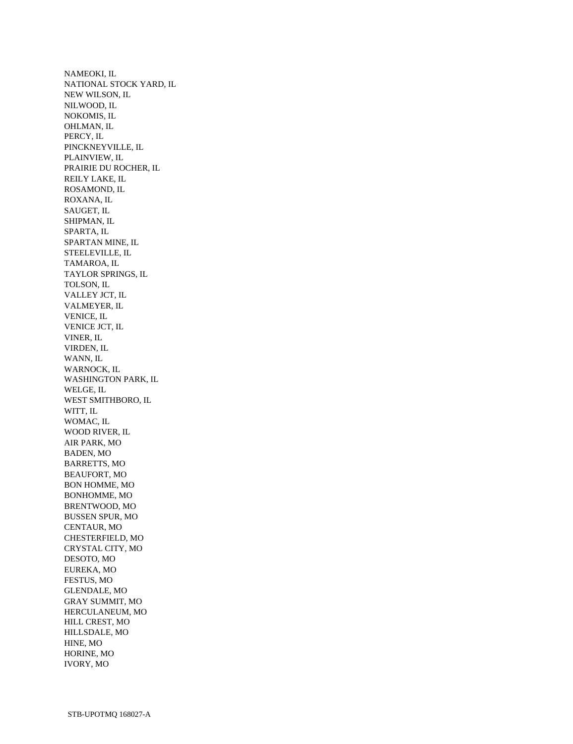NAMEOKI, IL NATIONAL STOCK YARD, IL NEW WILSON, IL NILWOOD, IL NOKOMIS, IL OHLMAN, IL PERCY, IL PINCKNEYVILLE, IL PLAINVIEW, IL PRAIRIE DU ROCHER, IL REILY LAKE, IL ROSAMOND, IL ROXANA, IL SAUGET, IL SHIPMAN, IL SPARTA, IL SPARTAN MINE, IL STEELEVILLE, IL TAMAROA, IL TAYLOR SPRINGS, IL TOLSON, IL VALLEY JCT, IL VALMEYER, IL VENICE, IL VENICE JCT, IL VINER, IL VIRDEN, IL WANN, IL WARNOCK, IL WASHINGTON PARK, IL WELGE, IL WEST SMITHBORO, IL WITT, IL WOMAC, IL WOOD RIVER, IL AIR PARK, MO BADEN, MO BARRETTS, MO BEAUFORT, MO BON HOMME, MO BONHOMME, MO BRENTWOOD, MO BUSSEN SPUR, MO CENTAUR, MO CHESTERFIELD, MO CRYSTAL CITY, MO DESOTO, MO EUREKA, MO FESTUS, MO GLENDALE, MO GRAY SUMMIT, MO HERCULANEUM, MO HILL CREST, MO HILLSDALE, MO HINE, MO HORINE, MO IVORY, MO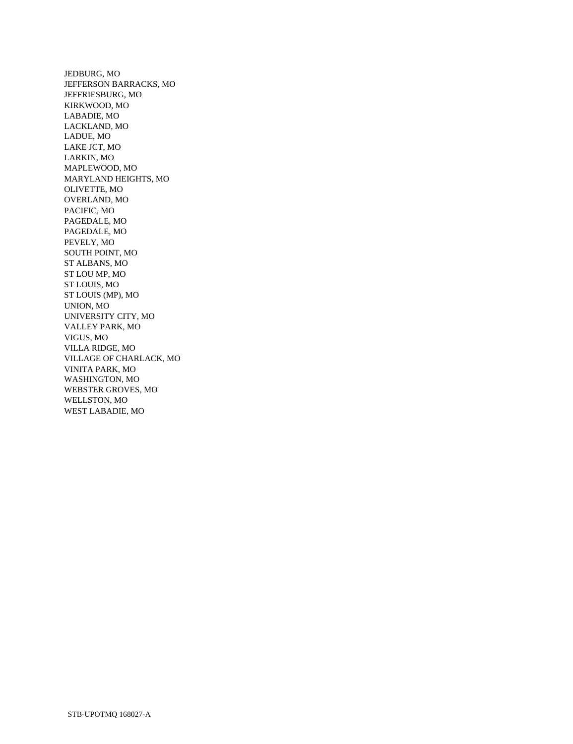JEDBURG, MO JEFFERSON BARRACKS, MO JEFFRIESBURG, MO KIRKWOOD, MO LABADIE, MO LACKLAND, MO LADUE, MO LAKE JCT, MO LARKIN, MO MAPLEWOOD, MO MARYLAND HEIGHTS, MO OLIVETTE, MO OVERLAND, MO PACIFIC, MO PAGEDALE, MO PAGEDALE, MO PEVELY, MO SOUTH POINT, MO ST ALBANS, MO ST LOU MP, MO ST LOUIS, MO ST LOUIS (MP), MO UNION, MO UNIVERSITY CITY, MO VALLEY PARK, MO VIGUS, MO VILLA RIDGE, MO VILLAGE OF CHARLACK, MO VINITA PARK, MO WASHINGTON, MO WEBSTER GROVES, MO WELLSTON, MO WEST LABADIE, MO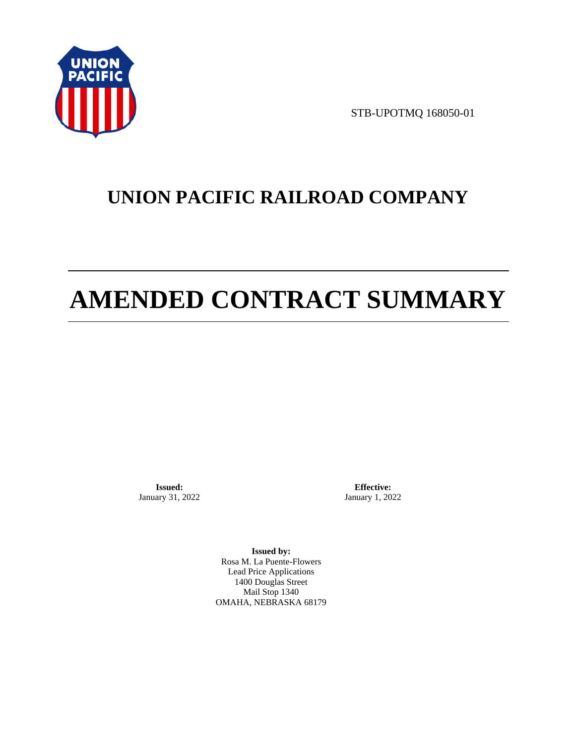

STB-UPOTMQ 168050-01

# **UNION PACIFIC RAILROAD COMPANY**

# **AMENDED CONTRACT SUMMARY**

**Issued:**  January 31, 2022

**Effective:** January 1, 2022

**Issued by:**  Rosa M. La Puente-Flowers Lead Price Applications 1400 Douglas Street Mail Stop 1340 OMAHA, NEBRASKA 68179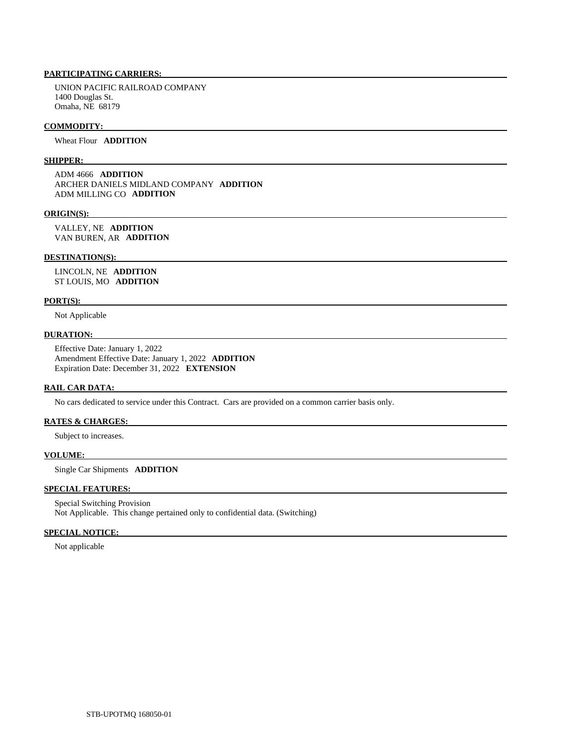## **PARTICIPATING CARRIERS:**

 UNION PACIFIC RAILROAD COMPANY 1400 Douglas St. Omaha, NE 68179

#### **COMMODITY:**

Wheat Flour **ADDITION** 

#### **SHIPPER:**

 ADM 4666 **ADDITION**  ARCHER DANIELS MIDLAND COMPANY **ADDITION**  ADM MILLING CO **ADDITION** 

#### **ORIGIN(S):**

 VALLEY, NE **ADDITION**  VAN BUREN, AR **ADDITION** 

#### **DESTINATION(S):**

 LINCOLN, NE **ADDITION**  ST LOUIS, MO **ADDITION** 

#### **PORT(S):**

Not Applicable

## **DURATION:**

 Effective Date: January 1, 2022 Amendment Effective Date: January 1, 2022 **ADDITION**  Expiration Date: December 31, 2022 **EXTENSION** 

## **RAIL CAR DATA:**

No cars dedicated to service under this Contract. Cars are provided on a common carrier basis only.

# **RATES & CHARGES:**

Subject to increases.

#### **VOLUME:**

Single Car Shipments **ADDITION** 

# **SPECIAL FEATURES:**

 Special Switching Provision Not Applicable. This change pertained only to confidential data. (Switching)

#### **SPECIAL NOTICE:**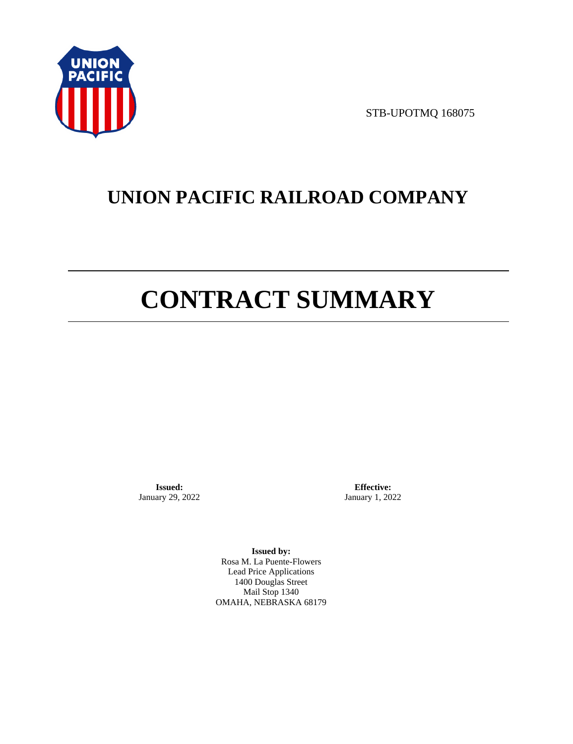

STB-UPOTMQ 168075

# **UNION PACIFIC RAILROAD COMPANY**

# **CONTRACT SUMMARY**

**Issued:**  January 29, 2022

**Effective:** January 1, 2022

**Issued by:**  Rosa M. La Puente-Flowers Lead Price Applications 1400 Douglas Street Mail Stop 1340 OMAHA, NEBRASKA 68179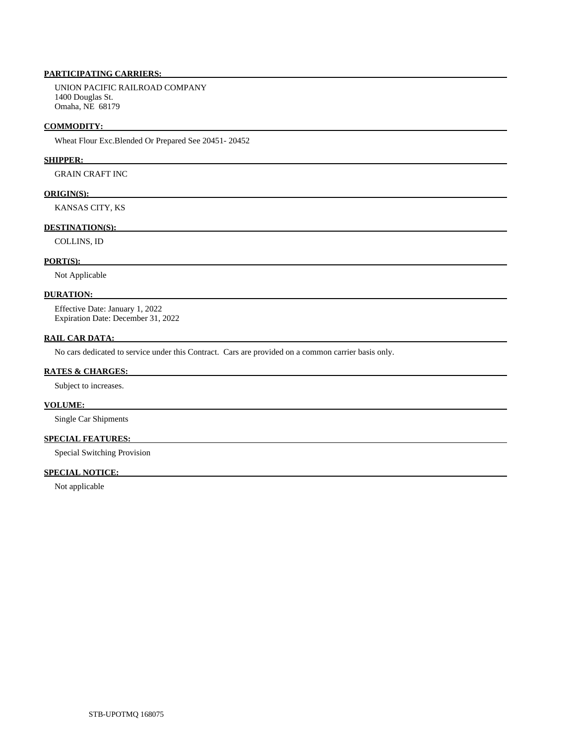# **PARTICIPATING CARRIERS:**

 UNION PACIFIC RAILROAD COMPANY 1400 Douglas St. Omaha, NE 68179

#### **COMMODITY:**

Wheat Flour Exc.Blended Or Prepared See 20451- 20452

#### **SHIPPER:**

GRAIN CRAFT INC

#### **ORIGIN(S):**

KANSAS CITY, KS

#### **DESTINATION(S):**

COLLINS, ID

#### **PORT(S):**

Not Applicable

#### **DURATION:**

 Effective Date: January 1, 2022 Expiration Date: December 31, 2022

#### **RAIL CAR DATA:**

No cars dedicated to service under this Contract. Cars are provided on a common carrier basis only.

#### **RATES & CHARGES:**

Subject to increases.

# **VOLUME:**

Single Car Shipments

## **SPECIAL FEATURES:**

Special Switching Provision

# **SPECIAL NOTICE:**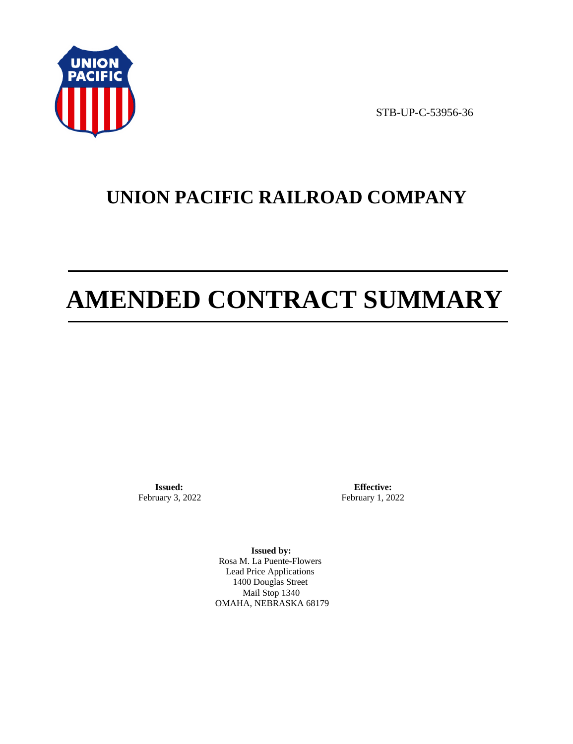

STB-UP-C-53956-36

# **UNION PACIFIC RAILROAD COMPANY**

# **AMENDED CONTRACT SUMMARY**

**Issued:**  February 3, 2022

**Effective:** February 1, 2022

**Issued by:**  Rosa M. La Puente-Flowers Lead Price Applications 1400 Douglas Street Mail Stop 1340 OMAHA, NEBRASKA 68179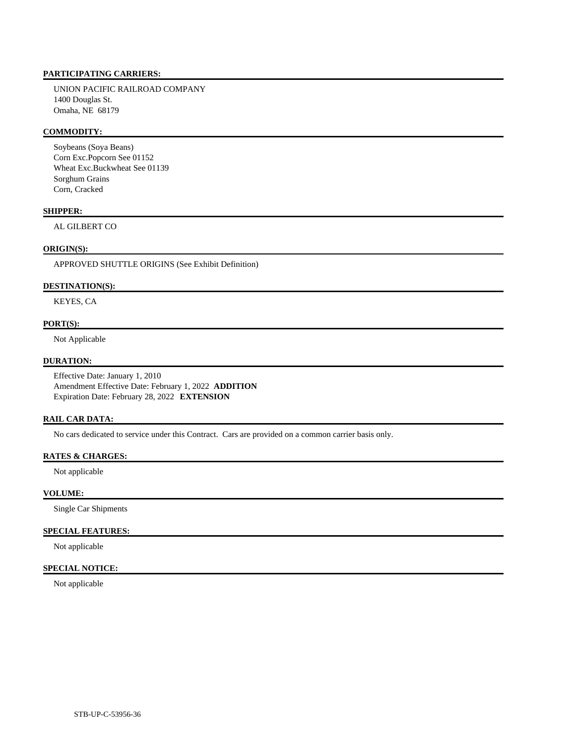## **PARTICIPATING CARRIERS:**

 UNION PACIFIC RAILROAD COMPANY 1400 Douglas St. Omaha, NE 68179

#### **COMMODITY:**

 Soybeans (Soya Beans) Corn Exc.Popcorn See 01152 Wheat Exc.Buckwheat See 01139 Sorghum Grains Corn, Cracked

## **SHIPPER:**

AL GILBERT CO

## **ORIGIN(S):**

APPROVED SHUTTLE ORIGINS (See Exhibit Definition)

#### **DESTINATION(S):**

KEYES, CA

### **PORT(S):**

Not Applicable

#### **DURATION:**

 Effective Date: January 1, 2010 Amendment Effective Date: February 1, 2022 **ADDITION**  Expiration Date: February 28, 2022 **EXTENSION** 

#### **RAIL CAR DATA:**

No cars dedicated to service under this Contract. Cars are provided on a common carrier basis only.

## **RATES & CHARGES:**

Not applicable

#### **VOLUME:**

Single Car Shipments

#### **SPECIAL FEATURES:**

Not applicable

## **SPECIAL NOTICE:**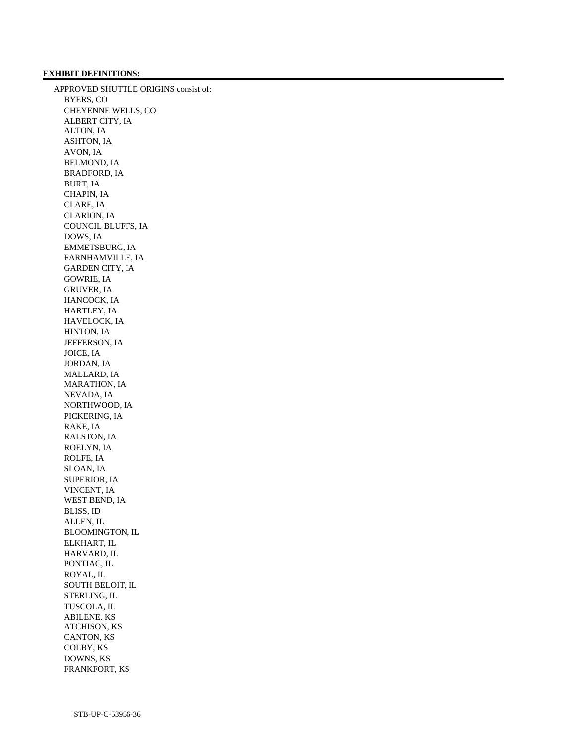#### **EXHIBIT DEFINITIONS:**

 APPROVED SHUTTLE ORIGINS consist of: BYERS, CO CHEYENNE WELLS, CO ALBERT CITY, IA ALTON, IA ASHTON, IA AVON, IA BELMOND, IA BRADFORD, IA BURT, IA CHAPIN, IA CLARE, IA CLARION, IA COUNCIL BLUFFS, IA DOWS, IA EMMETSBURG, IA FARNHAMVILLE, IA GARDEN CITY, IA GOWRIE, IA GRUVER, IA HANCOCK, IA HARTLEY, IA HAVELOCK, IA HINTON, IA JEFFERSON, IA JOICE, IA JORDAN, IA MALLARD, IA MARATHON, IA NEVADA, IA NORTHWOOD, IA PICKERING, IA RAKE, IA RALSTON, IA ROELYN, IA ROLFE, IA SLOAN, IA SUPERIOR, IA VINCENT, IA WEST BEND, IA BLISS, ID ALLEN, IL BLOOMINGTON, IL ELKHART, IL HARVARD, IL PONTIAC, IL ROYAL, IL SOUTH BELOIT, IL STERLING, IL TUSCOLA, IL ABILENE, KS ATCHISON, KS CANTON, KS COLBY, KS DOWNS, KS FRANKFORT, KS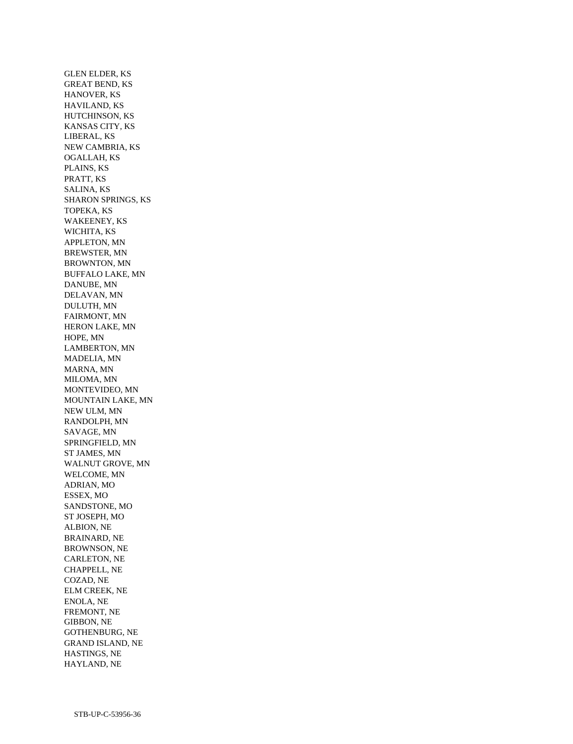GLEN ELDER, KS GREAT BEND, KS HANOVER, KS HAVILAND, KS HUTCHINSON, KS KANSAS CITY, KS LIBERAL, KS NEW CAMBRIA, KS OGALLAH, KS PLAINS, KS PRATT, KS SALINA, KS SHARON SPRINGS, KS TOPEKA, KS WAKEENEY, KS WICHITA, KS APPLETON, MN BREWSTER, MN BROWNTON, MN BUFFALO LAKE, MN DANUBE, MN DELAVAN, MN DULUTH, MN FAIRMONT, MN HERON LAKE, MN HOPE, MN LAMBERTON, MN MADELIA, MN MARNA, MN MILOMA, MN MONTEVIDEO, MN MOUNTAIN LAKE, MN NEW ULM, MN RANDOLPH, MN SAVAGE, MN SPRINGFIELD, MN ST JAMES, MN WALNUT GROVE, MN WELCOME, MN ADRIAN, MO ESSEX, MO SANDSTONE, MO ST JOSEPH, MO ALBION, NE BRAINARD, NE BROWNSON, NE CARLETON, NE CHAPPELL, NE COZAD, NE ELM CREEK, NE ENOLA, NE FREMONT, NE GIBBON, NE GOTHENBURG, NE GRAND ISLAND, NE HASTINGS, NE HAYLAND, NE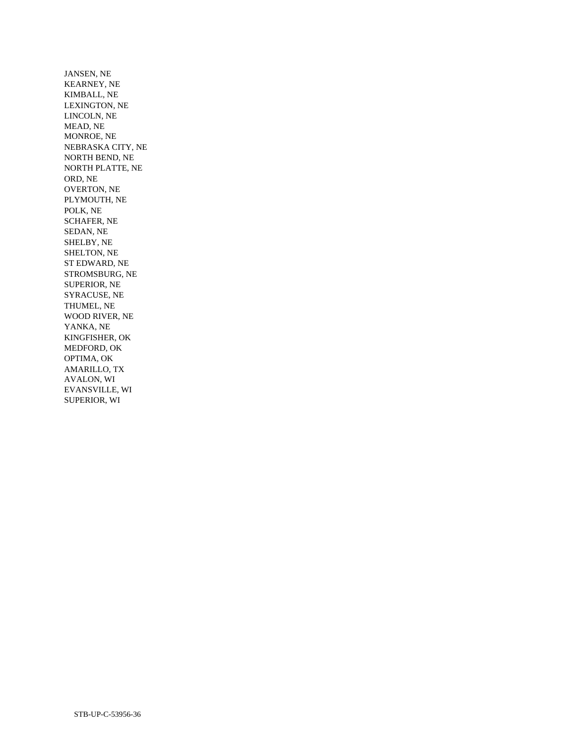JANSEN, NE KEARNEY, NE KIMBALL, NE LEXINGTON, NE LINCOLN, NE MEAD, NE MONROE, NE NEBRASKA CITY, NE NORTH BEND, NE NORTH PLATTE, NE ORD, NE OVERTON, NE PLYMOUTH, NE POLK, NE SCHAFER, NE SEDAN, NE SHELBY, NE SHELTON, NE ST EDWARD, NE STROMSBURG, NE SUPERIOR, NE SYRACUSE, NE THUMEL, NE WOOD RIVER, NE YANKA, NE KINGFISHER, OK MEDFORD, OK OPTIMA, OK AMARILLO, TX AVALON, WI EVANSVILLE, WI SUPERIOR, WI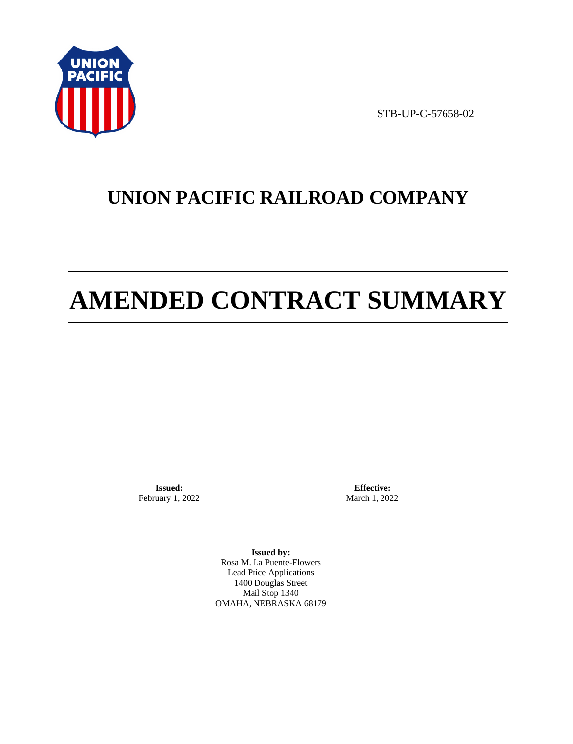

STB-UP-C-57658-02

# **UNION PACIFIC RAILROAD COMPANY**

# **AMENDED CONTRACT SUMMARY**

**Issued:**  February 1, 2022

**Effective:** March 1, 2022

**Issued by:**  Rosa M. La Puente-Flowers Lead Price Applications 1400 Douglas Street Mail Stop 1340 OMAHA, NEBRASKA 68179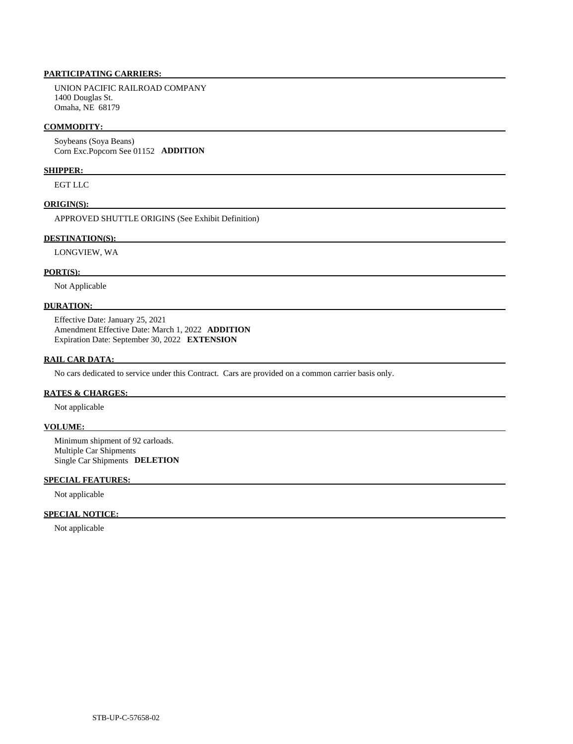### **PARTICIPATING CARRIERS:**

 UNION PACIFIC RAILROAD COMPANY 1400 Douglas St. Omaha, NE 68179

### **COMMODITY:**

 Soybeans (Soya Beans) Corn Exc.Popcorn See 01152 **ADDITION** 

#### **SHIPPER:**

EGT LLC

#### **ORIGIN(S):**

APPROVED SHUTTLE ORIGINS (See Exhibit Definition)

#### **DESTINATION(S):**

LONGVIEW, WA

#### **PORT(S):**

Not Applicable

# **DURATION:**

 Effective Date: January 25, 2021 Amendment Effective Date: March 1, 2022 **ADDITION**  Expiration Date: September 30, 2022 **EXTENSION** 

### **RAIL CAR DATA:**

No cars dedicated to service under this Contract. Cars are provided on a common carrier basis only.

#### **RATES & CHARGES:**

Not applicable

#### **VOLUME:**

 Minimum shipment of 92 carloads. Multiple Car Shipments Single Car Shipments **DELETION** 

#### **SPECIAL FEATURES:**

Not applicable

## **SPECIAL NOTICE:**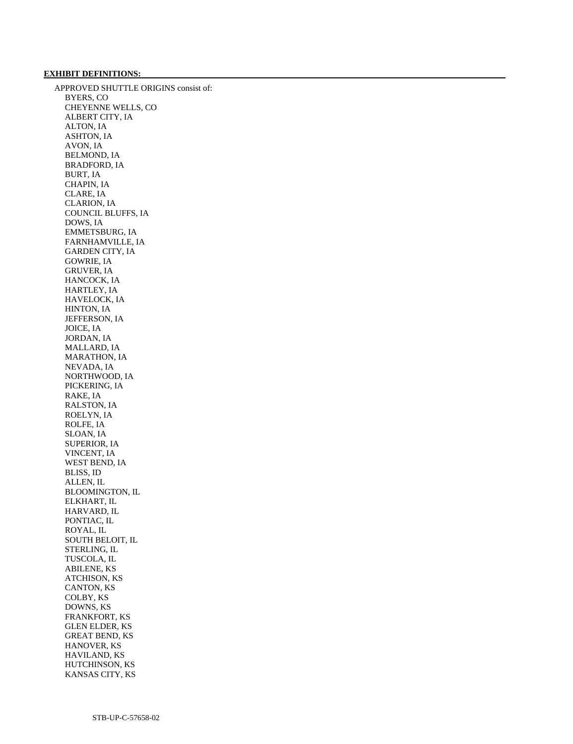#### **EXHIBIT DEFINITIONS:**

 APPROVED SHUTTLE ORIGINS consist of: BYERS, CO CHEYENNE WELLS, CO ALBERT CITY, IA ALTON, IA ASHTON, IA AVON, IA BELMOND, IA BRADFORD, IA BURT, IA CHAPIN, IA CLARE, IA CLARION, IA COUNCIL BLUFFS, IA DOWS, IA EMMETSBURG, IA FARNHAMVILLE, IA GARDEN CITY, IA GOWRIE, IA GRUVER, IA HANCOCK, IA HARTLEY, IA HAVELOCK, IA HINTON, IA JEFFERSON, IA JOICE, IA JORDAN, IA MALLARD, IA MARATHON, IA NEVADA, IA NORTHWOOD, IA PICKERING, IA RAKE, IA RALSTON, IA ROELYN, IA ROLFE, IA SLOAN, IA SUPERIOR, IA VINCENT, IA WEST BEND, IA BLISS, ID ALLEN, IL BLOOMINGTON, IL ELKHART, IL HARVARD, IL PONTIAC, IL ROYAL, IL SOUTH BELOIT, IL STERLING, IL TUSCOLA, IL ABILENE, KS ATCHISON, KS CANTON, KS COLBY, KS DOWNS, KS FRANKFORT, KS GLEN ELDER, KS GREAT BEND, KS HANOVER, KS HAVILAND, KS HUTCHINSON, KS KANSAS CITY, KS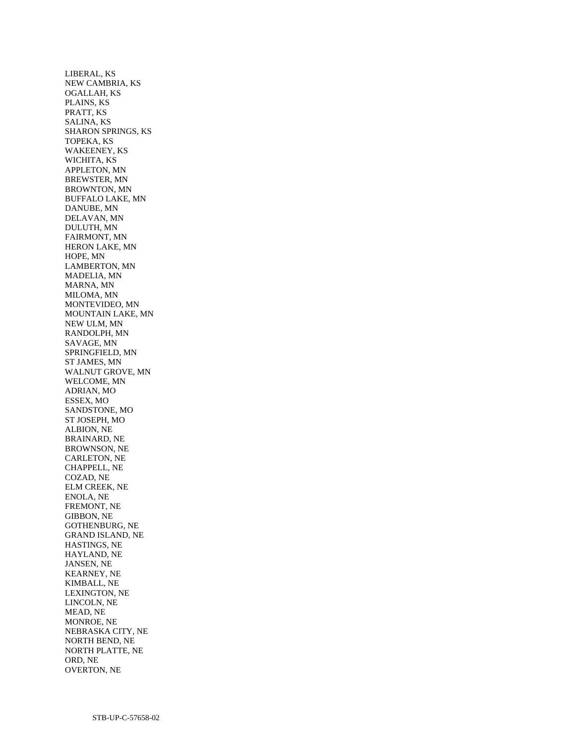LIBERAL, KS NEW CAMBRIA, KS OGALLAH, KS PLAINS, KS PRATT, KS SALINA, KS SHARON SPRINGS, KS TOPEKA, KS WAKEENEY, KS WICHITA, KS APPLETON, MN BREWSTER, MN BROWNTON, MN BUFFALO LAKE, MN DANUBE, MN DELAVAN, MN DULUTH, MN FAIRMONT, MN HERON LAKE, MN HOPE, MN LAMBERTON, MN MADELIA, MN MARNA, MN MILOMA, MN MONTEVIDEO, MN MOUNTAIN LAKE, MN NEW ULM, MN RANDOLPH, MN SAVAGE, MN SPRINGFIELD, MN ST JAMES, MN WALNUT GROVE, MN WELCOME, MN ADRIAN, MO ESSEX, MO SANDSTONE, MO ST JOSEPH, MO ALBION, NE BRAINARD, NE BROWNSON, NE CARLETON, NE CHAPPELL, NE COZAD, NE ELM CREEK, NE ENOLA, NE FREMONT, NE GIBBON, NE GOTHENBURG, NE GRAND ISLAND, NE HASTINGS, NE HAYLAND, NE JANSEN, NE KEARNEY, NE KIMBALL, NE LEXINGTON, NE LINCOLN, NE MEAD, NE MONROE, NE NEBRASKA CITY, NE NORTH BEND, NE NORTH PLATTE, NE ORD, NE OVERTON, NE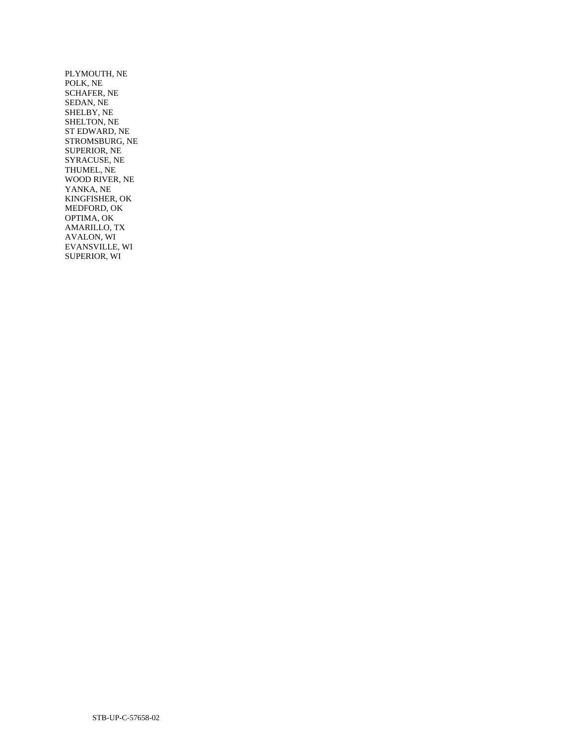PLYMOUTH, NE POLK, NE SCHAFER, NE SEDAN, NE SHELBY, NE SHELTON, NE ST EDWARD, NE STROMSBURG, NE SUPERIOR, NE SYRACUSE, NE THUMEL, NE WOOD RIVER, NE YANKA, NE KINGFISHER, OK MEDFORD, OK OPTIMA, OK AMARILLO, TX AVALON, WI EVANSVILLE, WI SUPERIOR, WI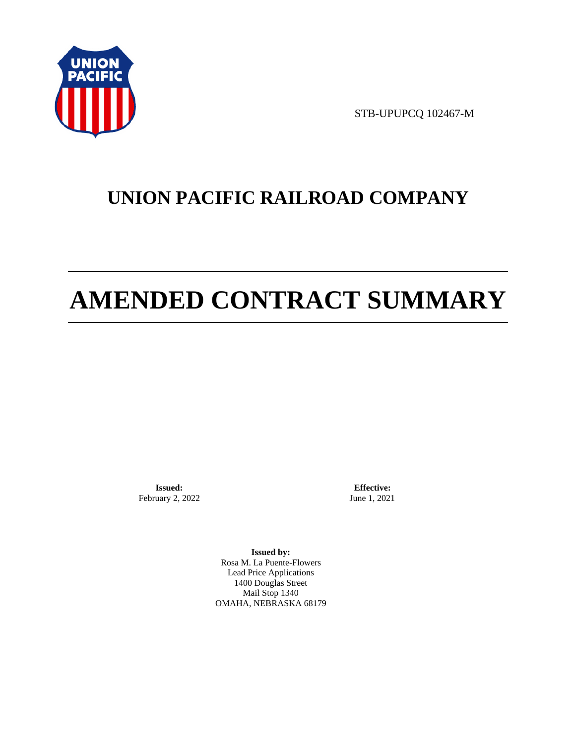

STB-UPUPCQ 102467-M

# **UNION PACIFIC RAILROAD COMPANY**

# **AMENDED CONTRACT SUMMARY**

**Issued:**  February 2, 2022

**Effective:** June 1, 2021

**Issued by:**  Rosa M. La Puente-Flowers Lead Price Applications 1400 Douglas Street Mail Stop 1340 OMAHA, NEBRASKA 68179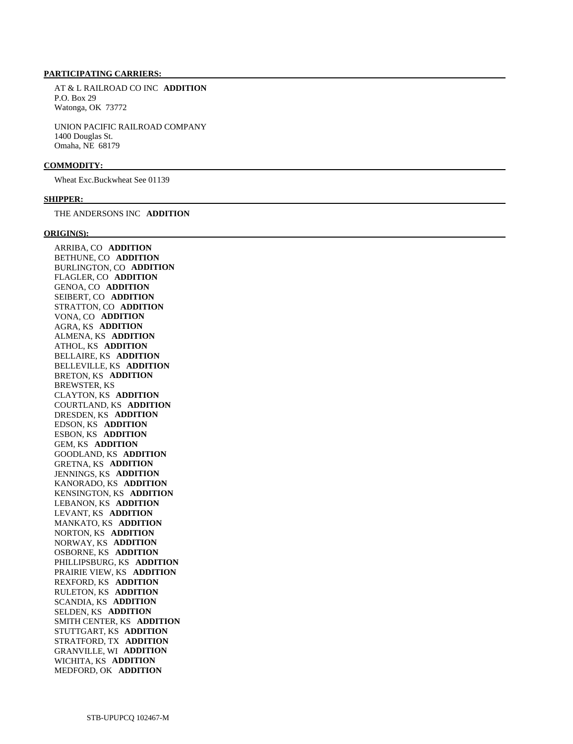#### **PARTICIPATING CARRIERS:**

 AT & L RAILROAD CO INC **ADDITION**  P.O. Box 29 Watonga, OK 73772

 UNION PACIFIC RAILROAD COMPANY 1400 Douglas St. Omaha, NE 68179

#### **COMMODITY:**

Wheat Exc.Buckwheat See 01139

### **SHIPPER:**

THE ANDERSONS INC **ADDITION** 

#### **ORIGIN(S):**

 ARRIBA, CO **ADDITION**  BETHUNE, CO **ADDITION**  BURLINGTON, CO **ADDITION**  FLAGLER, CO **ADDITION**  GENOA, CO **ADDITION**  SEIBERT, CO **ADDITION**  STRATTON, CO **ADDITION**  VONA, CO **ADDITION**  AGRA, KS **ADDITION**  ALMENA, KS **ADDITION**  ATHOL, KS **ADDITION**  BELLAIRE, KS **ADDITION**  BELLEVILLE, KS **ADDITION**  BRETON, KS **ADDITION**  BREWSTER, KS CLAYTON, KS **ADDITION**  COURTLAND, KS **ADDITION**  DRESDEN, KS **ADDITION**  EDSON, KS **ADDITION**  ESBON, KS **ADDITION**  GEM, KS **ADDITION**  GOODLAND, KS **ADDITION**  GRETNA, KS **ADDITION**  JENNINGS, KS **ADDITION**  KANORADO, KS **ADDITION**  KENSINGTON, KS **ADDITION**  LEBANON, KS **ADDITION**  LEVANT, KS **ADDITION**  MANKATO, KS **ADDITION**  NORTON, KS **ADDITION**  NORWAY, KS **ADDITION**  OSBORNE, KS **ADDITION**  PHILLIPSBURG, KS **ADDITION**  PRAIRIE VIEW, KS **ADDITION**  REXFORD, KS **ADDITION**  RULETON, KS **ADDITION**  SCANDIA, KS **ADDITION**  SELDEN, KS **ADDITION**  SMITH CENTER, KS **ADDITION**  STUTTGART, KS **ADDITION**  STRATFORD, TX **ADDITION**  GRANVILLE, WI **ADDITION**  WICHITA, KS **ADDITION**  MEDFORD, OK **ADDITION**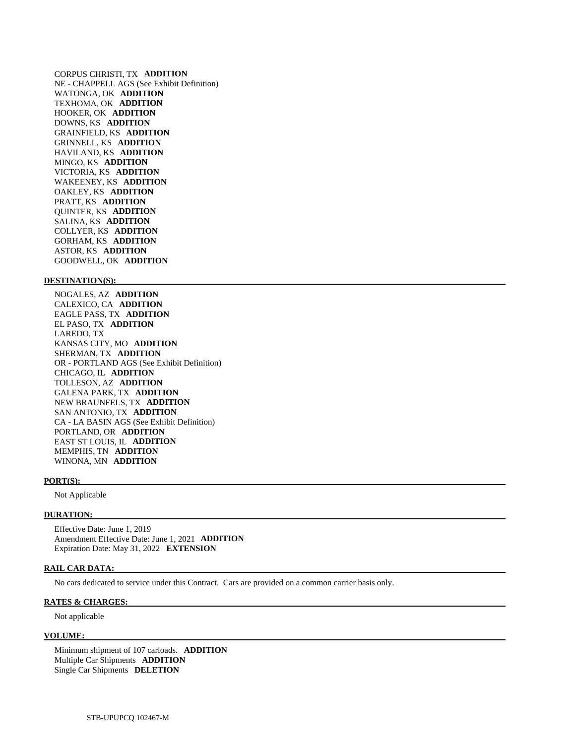CORPUS CHRISTI, TX **ADDITION**  NE - CHAPPELL AGS (See Exhibit Definition) WATONGA, OK **ADDITION**  TEXHOMA, OK **ADDITION**  HOOKER, OK **ADDITION**  DOWNS, KS **ADDITION**  GRAINFIELD, KS **ADDITION**  GRINNELL, KS **ADDITION**  HAVILAND, KS **ADDITION**  MINGO, KS **ADDITION**  VICTORIA, KS **ADDITION**  WAKEENEY, KS **ADDITION**  OAKLEY, KS **ADDITION**  PRATT, KS **ADDITION**  QUINTER, KS **ADDITION**  SALINA, KS **ADDITION**  COLLYER, KS **ADDITION**  GORHAM, KS **ADDITION**  ASTOR, KS **ADDITION**  GOODWELL, OK **ADDITION** 

#### **DESTINATION(S):**

 NOGALES, AZ **ADDITION**  CALEXICO, CA **ADDITION**  EAGLE PASS, TX **ADDITION**  EL PASO, TX **ADDITION**  LAREDO, TX KANSAS CITY, MO **ADDITION**  SHERMAN, TX **ADDITION**  OR - PORTLAND AGS (See Exhibit Definition) CHICAGO, IL **ADDITION**  TOLLESON, AZ **ADDITION**  GALENA PARK, TX **ADDITION**  NEW BRAUNFELS, TX **ADDITION**  SAN ANTONIO, TX **ADDITION**  CA - LA BASIN AGS (See Exhibit Definition) PORTLAND, OR **ADDITION**  EAST ST LOUIS, IL **ADDITION**  MEMPHIS, TN **ADDITION**  WINONA, MN **ADDITION** 

#### **PORT(S):**

Not Applicable

#### **DURATION:**

 Effective Date: June 1, 2019 Amendment Effective Date: June 1, 2021 **ADDITION**  Expiration Date: May 31, 2022 **EXTENSION** 

#### **RAIL CAR DATA:**

No cars dedicated to service under this Contract. Cars are provided on a common carrier basis only.

#### **RATES & CHARGES:**

Not applicable

#### **VOLUME:**

 Minimum shipment of 107 carloads. **ADDITION**  Multiple Car Shipments **ADDITION**  Single Car Shipments **DELETION**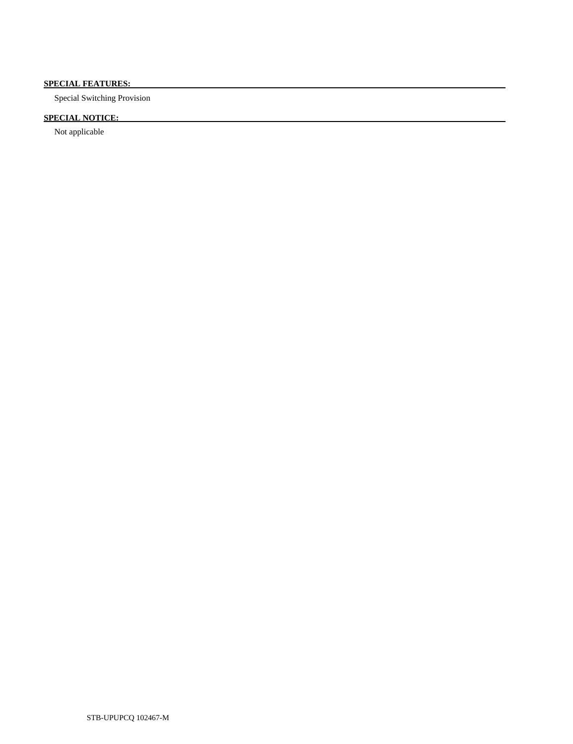# **SPECIAL FEATURES:**

Special Switching Provision

# **SPECIAL NOTICE:**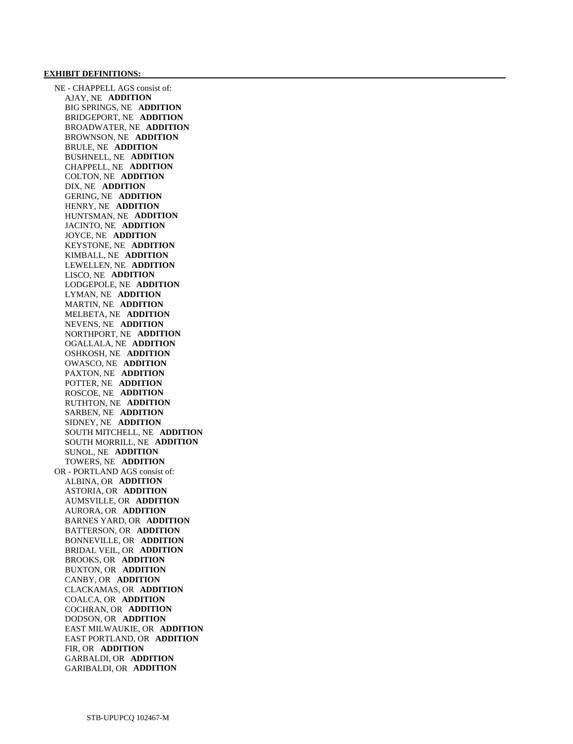#### **EXHIBIT DEFINITIONS:**

 NE - CHAPPELL AGS consist of: AJAY, NE **ADDITION**  BIG SPRINGS, NE **ADDITION**  BRIDGEPORT, NE **ADDITION**  BROADWATER, NE **ADDITION**  BROWNSON, NE **ADDITION**  BRULE, NE **ADDITION**  BUSHNELL, NE **ADDITION**  CHAPPELL, NE **ADDITION**  COLTON, NE **ADDITION**  DIX, NE **ADDITION**  GERING, NE **ADDITION**  HENRY, NE **ADDITION**  HUNTSMAN, NE **ADDITION**  JACINTO, NE **ADDITION**  JOYCE, NE **ADDITION**  KEYSTONE, NE **ADDITION**  KIMBALL, NE **ADDITION**  LEWELLEN, NE **ADDITION**  LISCO, NE **ADDITION**  LODGEPOLE, NE **ADDITION**  LYMAN, NE **ADDITION**  MARTIN, NE **ADDITION**  MELBETA, NE **ADDITION**  NEVENS, NE **ADDITION**  NORTHPORT, NE **ADDITION**  OGALLALA, NE **ADDITION**  OSHKOSH, NE **ADDITION**  OWASCO, NE **ADDITION**  PAXTON, NE **ADDITION**  POTTER, NE **ADDITION**  ROSCOE, NE **ADDITION**  RUTHTON, NE **ADDITION**  SARBEN, NE **ADDITION**  SIDNEY, NE **ADDITION**  SOUTH MITCHELL, NE **ADDITION**  SOUTH MORRILL, NE **ADDITION**  SUNOL, NE **ADDITION**  TOWERS, NE **ADDITION**  OR - PORTLAND AGS consist of: ALBINA, OR **ADDITION**  ASTORIA, OR **ADDITION**  AUMSVILLE, OR **ADDITION**  AURORA, OR **ADDITION**  BARNES YARD, OR **ADDITION**  BATTERSON, OR **ADDITION**  BONNEVILLE, OR **ADDITION**  BRIDAL VEIL, OR **ADDITION**  BROOKS, OR **ADDITION**  BUXTON, OR **ADDITION**  CANBY, OR **ADDITION**  CLACKAMAS, OR **ADDITION**  COALCA, OR **ADDITION**  COCHRAN, OR **ADDITION**  DODSON, OR **ADDITION**  EAST MILWAUKIE, OR **ADDITION**  EAST PORTLAND, OR **ADDITION**  FIR, OR **ADDITION**  GARBALDI, OR **ADDITION**  GARIBALDI, OR **ADDITION**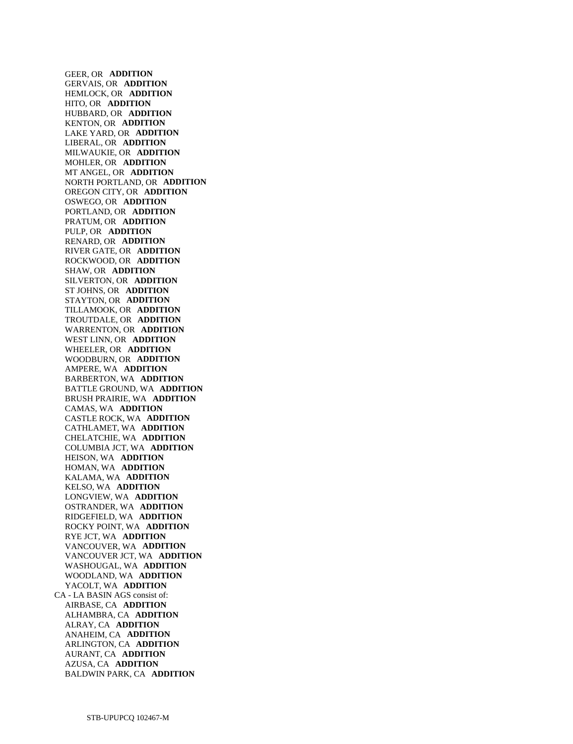GEER, OR **ADDITION**  GERVAIS, OR **ADDITION**  HEMLOCK, OR **ADDITION**  HITO, OR **ADDITION**  HUBBARD, OR **ADDITION**  KENTON, OR **ADDITION**  LAKE YARD, OR **ADDITION**  LIBERAL, OR **ADDITION**  MILWAUKIE, OR **ADDITION**  MOHLER, OR **ADDITION**  MT ANGEL, OR **ADDITION**  NORTH PORTLAND, OR **ADDITION**  OREGON CITY, OR **ADDITION**  OSWEGO, OR **ADDITION**  PORTLAND, OR **ADDITION**  PRATUM, OR **ADDITION**  PULP, OR **ADDITION**  RENARD, OR **ADDITION**  RIVER GATE, OR **ADDITION**  ROCKWOOD, OR **ADDITION**  SHAW, OR **ADDITION**  SILVERTON, OR **ADDITION**  ST JOHNS, OR **ADDITION**  STAYTON, OR **ADDITION**  TILLAMOOK, OR **ADDITION**  TROUTDALE, OR **ADDITION**  WARRENTON, OR **ADDITION**  WEST LINN, OR **ADDITION**  WHEELER, OR **ADDITION**  WOODBURN, OR **ADDITION**  AMPERE, WA **ADDITION**  BARBERTON, WA **ADDITION**  BATTLE GROUND, WA **ADDITION**  BRUSH PRAIRIE, WA **ADDITION**  CAMAS, WA **ADDITION**  CASTLE ROCK, WA **ADDITION**  CATHLAMET, WA **ADDITION**  CHELATCHIE, WA **ADDITION**  COLUMBIA JCT, WA **ADDITION**  HEISON, WA **ADDITION**  HOMAN, WA **ADDITION**  KALAMA, WA **ADDITION**  KELSO, WA **ADDITION**  LONGVIEW, WA **ADDITION**  OSTRANDER, WA **ADDITION**  RIDGEFIELD, WA **ADDITION**  ROCKY POINT, WA **ADDITION**  RYE JCT, WA **ADDITION**  VANCOUVER, WA **ADDITION**  VANCOUVER JCT, WA **ADDITION**  WASHOUGAL, WA **ADDITION**  WOODLAND, WA **ADDITION**  YACOLT, WA **ADDITION**  CA - LA BASIN AGS consist of: AIRBASE, CA **ADDITION**  ALHAMBRA, CA **ADDITION**  ALRAY, CA **ADDITION**  ANAHEIM, CA **ADDITION**  ARLINGTON, CA **ADDITION**  AURANT, CA **ADDITION**  AZUSA, CA **ADDITION**  BALDWIN PARK, CA **ADDITION**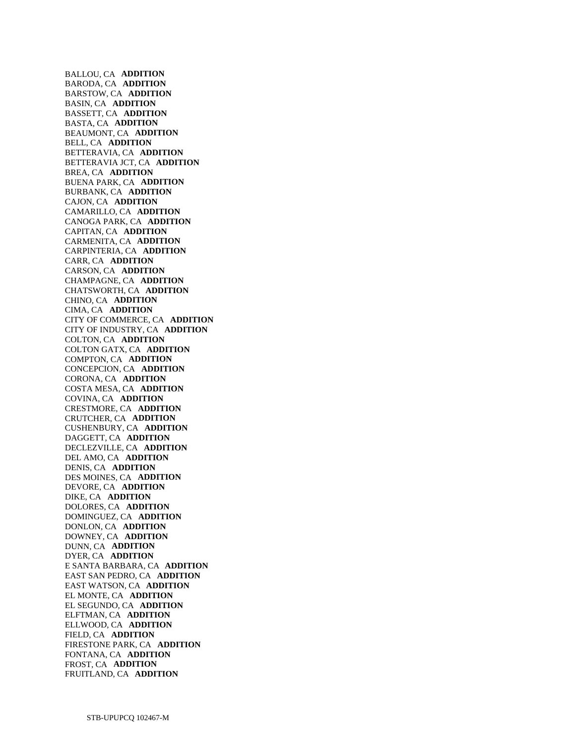BALLOU, CA **ADDITION**  BARODA, CA **ADDITION**  BARSTOW, CA **ADDITION**  BASIN, CA **ADDITION**  BASSETT, CA **ADDITION**  BASTA, CA **ADDITION**  BEAUMONT, CA **ADDITION**  BELL, CA **ADDITION**  BETTERAVIA, CA **ADDITION**  BETTERAVIA JCT, CA **ADDITION**  BREA, CA **ADDITION**  BUENA PARK, CA **ADDITION**  BURBANK, CA **ADDITION**  CAJON, CA **ADDITION**  CAMARILLO, CA **ADDITION**  CANOGA PARK, CA **ADDITION**  CAPITAN, CA **ADDITION**  CARMENITA, CA **ADDITION**  CARPINTERIA, CA **ADDITION**  CARR, CA **ADDITION**  CARSON, CA **ADDITION**  CHAMPAGNE, CA **ADDITION**  CHATSWORTH, CA **ADDITION**  CHINO, CA **ADDITION**  CIMA, CA **ADDITION**  CITY OF COMMERCE, CA **ADDITION**  CITY OF INDUSTRY, CA **ADDITION**  COLTON, CA **ADDITION**  COLTON GATX, CA **ADDITION**  COMPTON, CA **ADDITION**  CONCEPCION, CA **ADDITION**  CORONA, CA **ADDITION**  COSTA MESA, CA **ADDITION**  COVINA, CA **ADDITION**  CRESTMORE, CA **ADDITION**  CRUTCHER, CA **ADDITION**  CUSHENBURY, CA **ADDITION**  DAGGETT, CA **ADDITION**  DECLEZVILLE, CA **ADDITION**  DEL AMO, CA **ADDITION**  DENIS, CA **ADDITION**  DES MOINES, CA **ADDITION**  DEVORE, CA **ADDITION**  DIKE, CA **ADDITION**  DOLORES, CA **ADDITION**  DOMINGUEZ, CA **ADDITION**  DONLON, CA **ADDITION**  DOWNEY, CA **ADDITION**  DUNN, CA **ADDITION**  DYER, CA **ADDITION**  E SANTA BARBARA, CA **ADDITION**  EAST SAN PEDRO, CA **ADDITION**  EAST WATSON, CA **ADDITION**  EL MONTE, CA **ADDITION**  EL SEGUNDO, CA **ADDITION**  ELFTMAN, CA **ADDITION**  ELLWOOD, CA **ADDITION**  FIELD, CA **ADDITION**  FIRESTONE PARK, CA **ADDITION**  FONTANA, CA **ADDITION**  FROST, CA **ADDITION**  FRUITLAND, CA **ADDITION**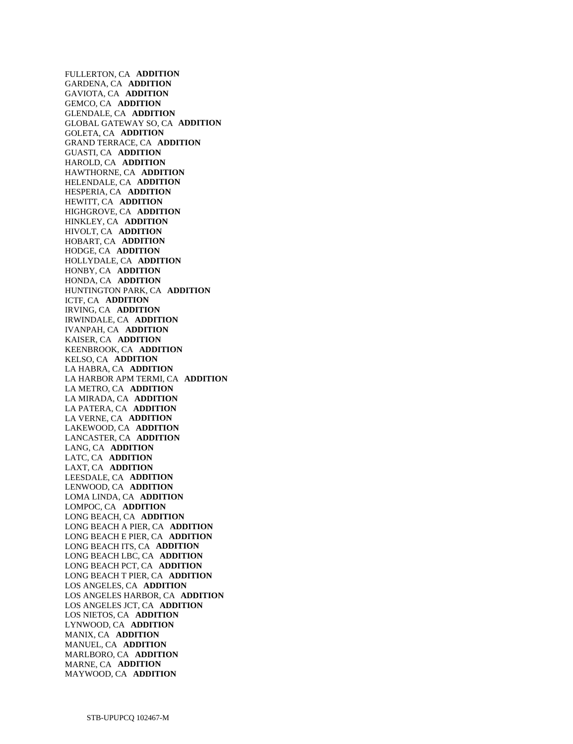FULLERTON, CA **ADDITION**  GARDENA, CA **ADDITION**  GAVIOTA, CA **ADDITION**  GEMCO, CA **ADDITION**  GLENDALE, CA **ADDITION**  GLOBAL GATEWAY SO, CA **ADDITION**  GOLETA, CA **ADDITION**  GRAND TERRACE, CA **ADDITION**  GUASTI, CA **ADDITION**  HAROLD, CA **ADDITION**  HAWTHORNE, CA **ADDITION**  HELENDALE, CA **ADDITION**  HESPERIA, CA **ADDITION**  HEWITT, CA **ADDITION**  HIGHGROVE, CA **ADDITION**  HINKLEY, CA **ADDITION**  HIVOLT, CA **ADDITION**  HOBART, CA **ADDITION**  HODGE, CA **ADDITION**  HOLLYDALE, CA **ADDITION**  HONBY, CA **ADDITION**  HONDA, CA **ADDITION**  HUNTINGTON PARK, CA **ADDITION**  ICTF, CA **ADDITION**  IRVING, CA **ADDITION**  IRWINDALE, CA **ADDITION**  IVANPAH, CA **ADDITION**  KAISER, CA **ADDITION**  KEENBROOK, CA **ADDITION**  KELSO, CA **ADDITION**  LA HABRA, CA **ADDITION**  LA HARBOR APM TERMI, CA **ADDITION**  LA METRO, CA **ADDITION**  LA MIRADA, CA **ADDITION**  LA PATERA, CA **ADDITION**  LA VERNE, CA **ADDITION**  LAKEWOOD, CA **ADDITION**  LANCASTER, CA **ADDITION**  LANG, CA **ADDITION**  LATC, CA **ADDITION**  LAXT, CA **ADDITION**  LEESDALE, CA **ADDITION**  LENWOOD, CA **ADDITION**  LOMA LINDA, CA **ADDITION**  LOMPOC, CA **ADDITION**  LONG BEACH, CA **ADDITION**  LONG BEACH A PIER, CA **ADDITION**  LONG BEACH E PIER, CA **ADDITION**  LONG BEACH ITS, CA **ADDITION**  LONG BEACH LBC, CA **ADDITION**  LONG BEACH PCT, CA **ADDITION**  LONG BEACH T PIER, CA **ADDITION**  LOS ANGELES, CA **ADDITION**  LOS ANGELES HARBOR, CA **ADDITION**  LOS ANGELES JCT, CA **ADDITION**  LOS NIETOS, CA **ADDITION**  LYNWOOD, CA **ADDITION**  MANIX, CA **ADDITION**  MANUEL, CA **ADDITION**  MARLBORO, CA **ADDITION**  MARNE, CA **ADDITION**  MAYWOOD, CA **ADDITION**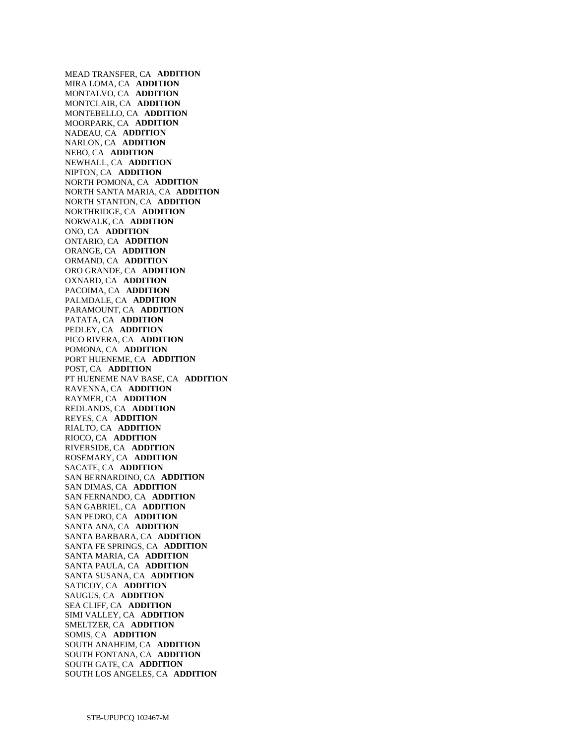MEAD TRANSFER, CA **ADDITION**  MIRA LOMA, CA **ADDITION**  MONTALVO, CA **ADDITION**  MONTCLAIR, CA **ADDITION**  MONTEBELLO, CA **ADDITION**  MOORPARK, CA **ADDITION**  NADEAU, CA **ADDITION**  NARLON, CA **ADDITION**  NEBO, CA **ADDITION**  NEWHALL, CA **ADDITION**  NIPTON, CA **ADDITION**  NORTH POMONA, CA **ADDITION**  NORTH SANTA MARIA, CA **ADDITION**  NORTH STANTON, CA **ADDITION**  NORTHRIDGE, CA **ADDITION**  NORWALK, CA **ADDITION**  ONO, CA **ADDITION**  ONTARIO, CA **ADDITION**  ORANGE, CA **ADDITION**  ORMAND, CA **ADDITION**  ORO GRANDE, CA **ADDITION**  OXNARD, CA **ADDITION**  PACOIMA, CA **ADDITION**  PALMDALE, CA **ADDITION**  PARAMOUNT, CA **ADDITION**  PATATA, CA **ADDITION**  PEDLEY, CA **ADDITION**  PICO RIVERA, CA **ADDITION**  POMONA, CA **ADDITION**  PORT HUENEME, CA **ADDITION**  POST, CA **ADDITION**  PT HUENEME NAV BASE, CA **ADDITION**  RAVENNA, CA **ADDITION**  RAYMER, CA **ADDITION**  REDLANDS, CA **ADDITION**  REYES, CA **ADDITION**  RIALTO, CA **ADDITION**  RIOCO, CA **ADDITION**  RIVERSIDE, CA **ADDITION**  ROSEMARY, CA **ADDITION**  SACATE, CA **ADDITION**  SAN BERNARDINO, CA **ADDITION**  SAN DIMAS, CA **ADDITION**  SAN FERNANDO, CA **ADDITION**  SAN GABRIEL, CA **ADDITION**  SAN PEDRO, CA **ADDITION**  SANTA ANA, CA **ADDITION**  SANTA BARBARA, CA **ADDITION**  SANTA FE SPRINGS, CA **ADDITION**  SANTA MARIA, CA **ADDITION**  SANTA PAULA, CA **ADDITION**  SANTA SUSANA, CA **ADDITION**  SATICOY, CA **ADDITION**  SAUGUS, CA **ADDITION**  SEA CLIFF, CA **ADDITION**  SIMI VALLEY, CA **ADDITION**  SMELTZER, CA **ADDITION**  SOMIS, CA **ADDITION**  SOUTH ANAHEIM, CA **ADDITION**  SOUTH FONTANA, CA **ADDITION**  SOUTH GATE, CA **ADDITION**  SOUTH LOS ANGELES, CA **ADDITION**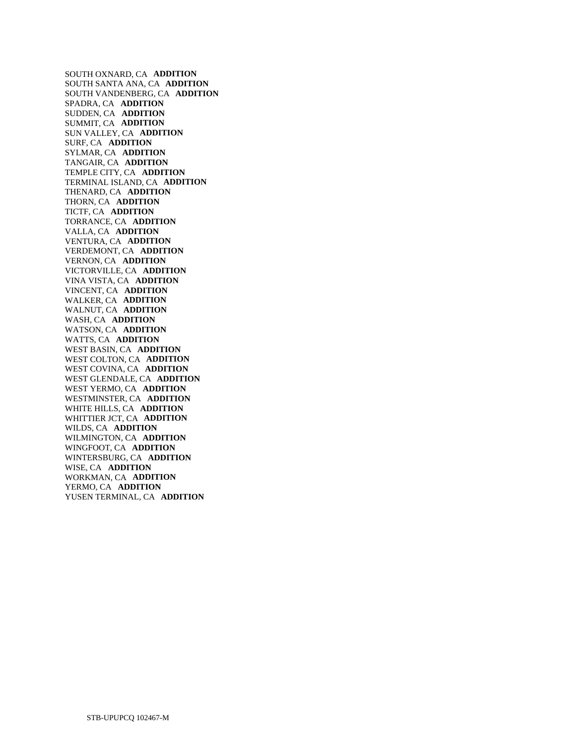SOUTH OXNARD, CA **ADDITION**  SOUTH SANTA ANA, CA **ADDITION**  SOUTH VANDENBERG, CA **ADDITION**  SPADRA, CA **ADDITION**  SUDDEN, CA **ADDITION**  SUMMIT, CA **ADDITION**  SUN VALLEY, CA **ADDITION**  SURF, CA **ADDITION**  SYLMAR, CA **ADDITION**  TANGAIR, CA **ADDITION**  TEMPLE CITY, CA **ADDITION**  TERMINAL ISLAND, CA **ADDITION**  THENARD, CA **ADDITION**  THORN, CA **ADDITION**  TICTF, CA **ADDITION**  TORRANCE, CA **ADDITION**  VALLA, CA **ADDITION**  VENTURA, CA **ADDITION**  VERDEMONT, CA **ADDITION**  VERNON, CA **ADDITION**  VICTORVILLE, CA **ADDITION**  VINA VISTA, CA **ADDITION**  VINCENT, CA **ADDITION**  WALKER, CA **ADDITION**  WALNUT, CA **ADDITION**  WASH, CA **ADDITION**  WATSON, CA **ADDITION**  WATTS, CA **ADDITION**  WEST BASIN, CA **ADDITION**  WEST COLTON, CA **ADDITION**  WEST COVINA, CA **ADDITION**  WEST GLENDALE, CA **ADDITION**  WEST YERMO, CA **ADDITION**  WESTMINSTER, CA **ADDITION**  WHITE HILLS, CA **ADDITION**  WHITTIER JCT, CA **ADDITION**  WILDS, CA **ADDITION**  WILMINGTON, CA **ADDITION**  WINGFOOT, CA **ADDITION**  WINTERSBURG, CA **ADDITION**  WISE, CA **ADDITION**  WORKMAN, CA **ADDITION**  YERMO, CA **ADDITION**  YUSEN TERMINAL, CA **ADDITION**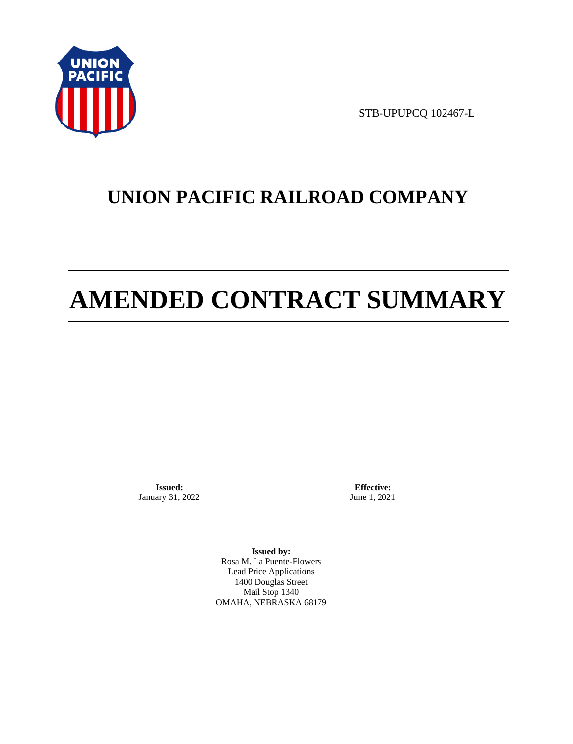

STB-UPUPCQ 102467-L

# **UNION PACIFIC RAILROAD COMPANY**

# **AMENDED CONTRACT SUMMARY**

**Issued:**  January 31, 2022

**Effective:** June 1, 2021

**Issued by:**  Rosa M. La Puente-Flowers Lead Price Applications 1400 Douglas Street Mail Stop 1340 OMAHA, NEBRASKA 68179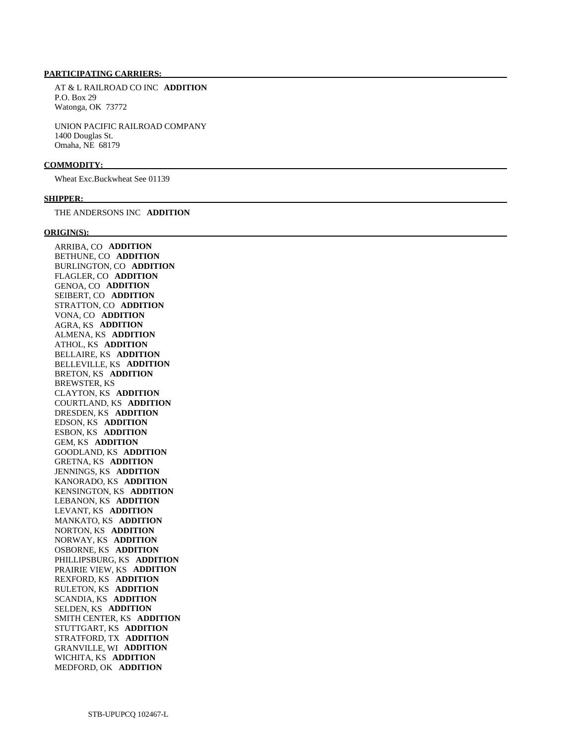#### **PARTICIPATING CARRIERS:**

 AT & L RAILROAD CO INC **ADDITION**  P.O. Box 29 Watonga, OK 73772

 UNION PACIFIC RAILROAD COMPANY 1400 Douglas St. Omaha, NE 68179

#### **COMMODITY:**

Wheat Exc.Buckwheat See 01139

#### **SHIPPER:**

THE ANDERSONS INC **ADDITION** 

#### **ORIGIN(S):**

 ARRIBA, CO **ADDITION**  BETHUNE, CO **ADDITION**  BURLINGTON, CO **ADDITION**  FLAGLER, CO **ADDITION**  GENOA, CO **ADDITION**  SEIBERT, CO **ADDITION**  STRATTON, CO **ADDITION**  VONA, CO **ADDITION**  AGRA, KS **ADDITION**  ALMENA, KS **ADDITION**  ATHOL, KS **ADDITION**  BELLAIRE, KS **ADDITION**  BELLEVILLE, KS **ADDITION**  BRETON, KS **ADDITION**  BREWSTER, KS CLAYTON, KS **ADDITION**  COURTLAND, KS **ADDITION**  DRESDEN, KS **ADDITION**  EDSON, KS **ADDITION**  ESBON, KS **ADDITION**  GEM, KS **ADDITION**  GOODLAND, KS **ADDITION**  GRETNA, KS **ADDITION**  JENNINGS, KS **ADDITION**  KANORADO, KS **ADDITION**  KENSINGTON, KS **ADDITION**  LEBANON, KS **ADDITION**  LEVANT, KS **ADDITION**  MANKATO, KS **ADDITION**  NORTON, KS **ADDITION**  NORWAY, KS **ADDITION**  OSBORNE, KS **ADDITION**  PHILLIPSBURG, KS **ADDITION**  PRAIRIE VIEW, KS **ADDITION**  REXFORD, KS **ADDITION**  RULETON, KS **ADDITION**  SCANDIA, KS **ADDITION**  SELDEN, KS **ADDITION**  SMITH CENTER, KS **ADDITION**  STUTTGART, KS **ADDITION**  STRATFORD, TX **ADDITION**  GRANVILLE, WI **ADDITION**  WICHITA, KS **ADDITION**  MEDFORD, OK **ADDITION**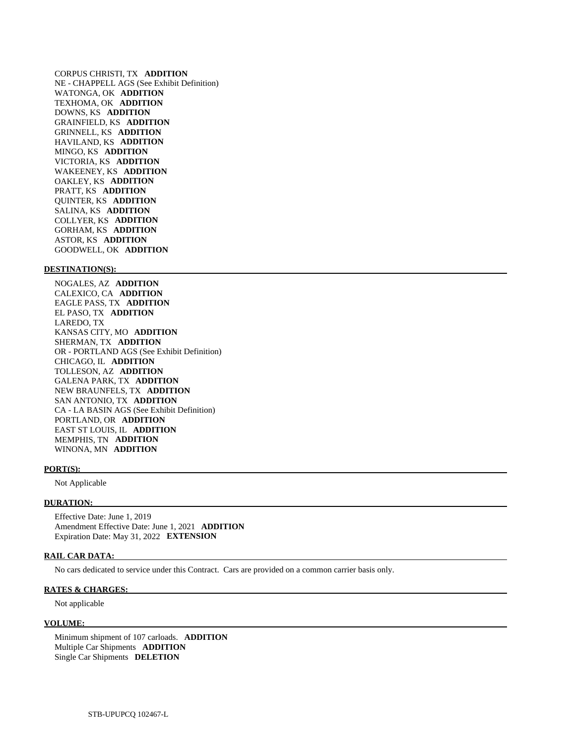CORPUS CHRISTI, TX **ADDITION**  NE - CHAPPELL AGS (See Exhibit Definition) WATONGA, OK **ADDITION**  TEXHOMA, OK **ADDITION**  DOWNS, KS **ADDITION**  GRAINFIELD, KS **ADDITION**  GRINNELL, KS **ADDITION**  HAVILAND, KS **ADDITION**  MINGO, KS **ADDITION**  VICTORIA, KS **ADDITION**  WAKEENEY, KS **ADDITION**  OAKLEY, KS **ADDITION**  PRATT, KS **ADDITION**  QUINTER, KS **ADDITION**  SALINA, KS **ADDITION**  COLLYER, KS **ADDITION**  GORHAM, KS **ADDITION**  ASTOR, KS **ADDITION**  GOODWELL, OK **ADDITION** 

#### **DESTINATION(S):**

 NOGALES, AZ **ADDITION**  CALEXICO, CA **ADDITION**  EAGLE PASS, TX **ADDITION**  EL PASO, TX **ADDITION**  LAREDO, TX KANSAS CITY, MO **ADDITION**  SHERMAN, TX **ADDITION**  OR - PORTLAND AGS (See Exhibit Definition) CHICAGO, IL **ADDITION**  TOLLESON, AZ **ADDITION**  GALENA PARK, TX **ADDITION**  NEW BRAUNFELS, TX **ADDITION**  SAN ANTONIO, TX **ADDITION**  CA - LA BASIN AGS (See Exhibit Definition) PORTLAND, OR **ADDITION**  EAST ST LOUIS, IL **ADDITION**  MEMPHIS, TN **ADDITION**  WINONA, MN **ADDITION** 

#### **PORT(S):**

Not Applicable

#### **DURATION:**

 Effective Date: June 1, 2019 Amendment Effective Date: June 1, 2021 **ADDITION**  Expiration Date: May 31, 2022 **EXTENSION** 

#### **RAIL CAR DATA:**

No cars dedicated to service under this Contract. Cars are provided on a common carrier basis only.

#### **RATES & CHARGES:**

Not applicable

### **VOLUME:**

 Minimum shipment of 107 carloads. **ADDITION**  Multiple Car Shipments **ADDITION**  Single Car Shipments **DELETION**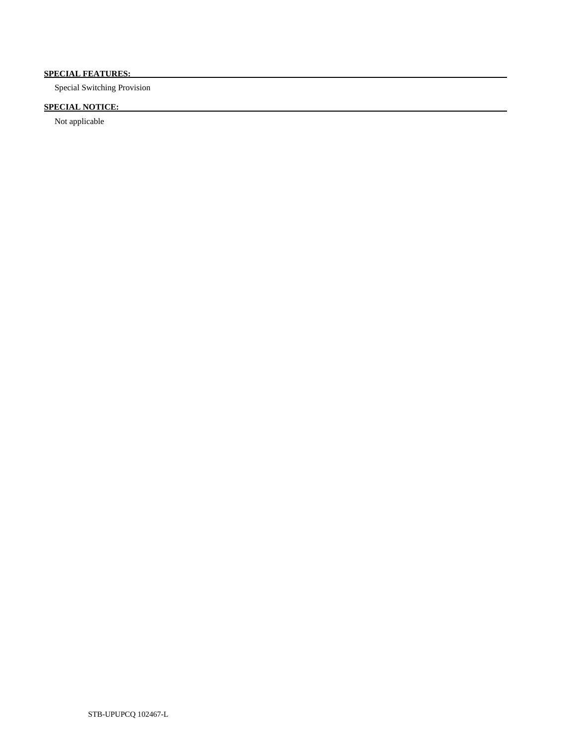# **SPECIAL FEATURES:**

Special Switching Provision

# **SPECIAL NOTICE:**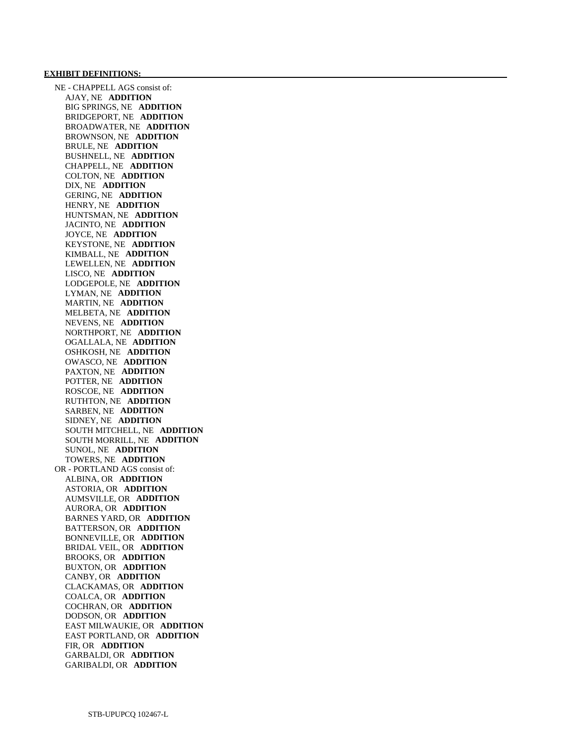#### **EXHIBIT DEFINITIONS:**

 NE - CHAPPELL AGS consist of: AJAY, NE **ADDITION**  BIG SPRINGS, NE **ADDITION**  BRIDGEPORT, NE **ADDITION**  BROADWATER, NE **ADDITION**  BROWNSON, NE **ADDITION**  BRULE, NE **ADDITION**  BUSHNELL, NE **ADDITION**  CHAPPELL, NE **ADDITION**  COLTON, NE **ADDITION**  DIX, NE **ADDITION**  GERING, NE **ADDITION**  HENRY, NE **ADDITION**  HUNTSMAN, NE **ADDITION**  JACINTO, NE **ADDITION**  JOYCE, NE **ADDITION**  KEYSTONE, NE **ADDITION**  KIMBALL, NE **ADDITION**  LEWELLEN, NE **ADDITION**  LISCO, NE **ADDITION**  LODGEPOLE, NE **ADDITION**  LYMAN, NE **ADDITION**  MARTIN, NE **ADDITION**  MELBETA, NE **ADDITION**  NEVENS, NE **ADDITION**  NORTHPORT, NE **ADDITION**  OGALLALA, NE **ADDITION**  OSHKOSH, NE **ADDITION**  OWASCO, NE **ADDITION**  PAXTON, NE **ADDITION**  POTTER, NE **ADDITION**  ROSCOE, NE **ADDITION**  RUTHTON, NE **ADDITION**  SARBEN, NE **ADDITION**  SIDNEY, NE **ADDITION**  SOUTH MITCHELL, NE **ADDITION**  SOUTH MORRILL, NE **ADDITION**  SUNOL, NE **ADDITION**  TOWERS, NE **ADDITION**  OR - PORTLAND AGS consist of: ALBINA, OR **ADDITION**  ASTORIA, OR **ADDITION**  AUMSVILLE, OR **ADDITION**  AURORA, OR **ADDITION**  BARNES YARD, OR **ADDITION**  BATTERSON, OR **ADDITION**  BONNEVILLE, OR **ADDITION**  BRIDAL VEIL, OR **ADDITION**  BROOKS, OR **ADDITION**  BUXTON, OR **ADDITION**  CANBY, OR **ADDITION**  CLACKAMAS, OR **ADDITION**  COALCA, OR **ADDITION**  COCHRAN, OR **ADDITION**  DODSON, OR **ADDITION**  EAST MILWAUKIE, OR **ADDITION**  EAST PORTLAND, OR **ADDITION**  FIR, OR **ADDITION**  GARBALDI, OR **ADDITION**  GARIBALDI, OR **ADDITION**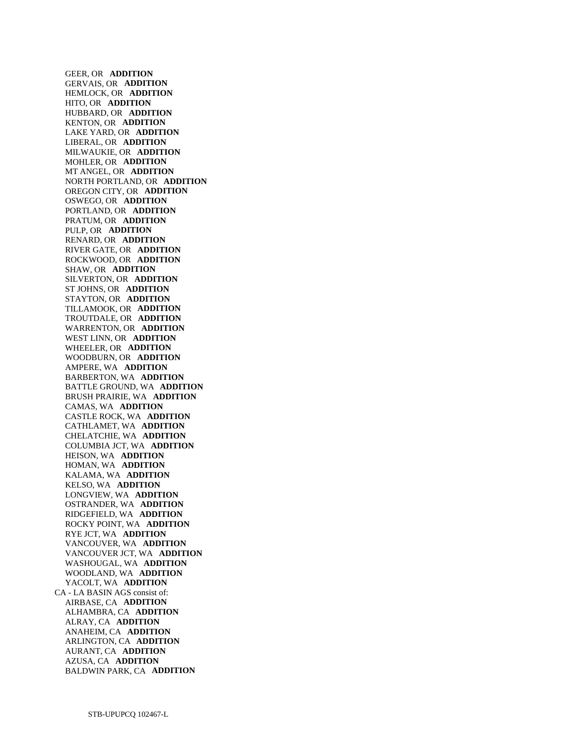GEER, OR **ADDITION**  GERVAIS, OR **ADDITION**  HEMLOCK, OR **ADDITION**  HITO, OR **ADDITION**  HUBBARD, OR **ADDITION**  KENTON, OR **ADDITION**  LAKE YARD, OR **ADDITION**  LIBERAL, OR **ADDITION**  MILWAUKIE, OR **ADDITION**  MOHLER, OR **ADDITION**  MT ANGEL, OR **ADDITION**  NORTH PORTLAND, OR **ADDITION**  OREGON CITY, OR **ADDITION**  OSWEGO, OR **ADDITION**  PORTLAND, OR **ADDITION**  PRATUM, OR **ADDITION**  PULP, OR **ADDITION**  RENARD, OR **ADDITION**  RIVER GATE, OR **ADDITION**  ROCKWOOD, OR **ADDITION**  SHAW, OR **ADDITION**  SILVERTON, OR **ADDITION**  ST JOHNS, OR **ADDITION**  STAYTON, OR **ADDITION**  TILLAMOOK, OR **ADDITION**  TROUTDALE, OR **ADDITION**  WARRENTON, OR **ADDITION**  WEST LINN, OR **ADDITION**  WHEELER, OR **ADDITION**  WOODBURN, OR **ADDITION**  AMPERE, WA **ADDITION**  BARBERTON, WA **ADDITION**  BATTLE GROUND, WA **ADDITION**  BRUSH PRAIRIE, WA **ADDITION**  CAMAS, WA **ADDITION**  CASTLE ROCK, WA **ADDITION**  CATHLAMET, WA **ADDITION**  CHELATCHIE, WA **ADDITION**  COLUMBIA JCT, WA **ADDITION**  HEISON, WA **ADDITION**  HOMAN, WA **ADDITION**  KALAMA, WA **ADDITION**  KELSO, WA **ADDITION**  LONGVIEW, WA **ADDITION**  OSTRANDER, WA **ADDITION**  RIDGEFIELD, WA **ADDITION**  ROCKY POINT, WA **ADDITION**  RYE JCT, WA **ADDITION**  VANCOUVER, WA **ADDITION**  VANCOUVER JCT, WA **ADDITION**  WASHOUGAL, WA **ADDITION**  WOODLAND, WA **ADDITION**  YACOLT, WA **ADDITION**  CA - LA BASIN AGS consist of: AIRBASE, CA **ADDITION**  ALHAMBRA, CA **ADDITION**  ALRAY, CA **ADDITION**  ANAHEIM, CA **ADDITION**  ARLINGTON, CA **ADDITION**  AURANT, CA **ADDITION**  AZUSA, CA **ADDITION**  BALDWIN PARK, CA **ADDITION**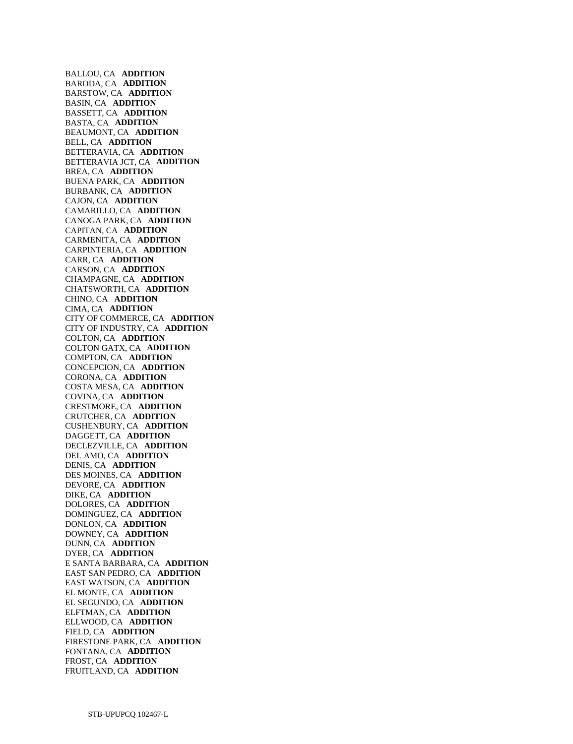BALLOU, CA **ADDITION**  BARODA, CA **ADDITION**  BARSTOW, CA **ADDITION**  BASIN, CA **ADDITION**  BASSETT, CA **ADDITION**  BASTA, CA **ADDITION**  BEAUMONT, CA **ADDITION**  BELL, CA **ADDITION**  BETTERAVIA, CA **ADDITION**  BETTERAVIA JCT, CA **ADDITION**  BREA, CA **ADDITION**  BUENA PARK, CA **ADDITION**  BURBANK, CA **ADDITION**  CAJON, CA **ADDITION**  CAMARILLO, CA **ADDITION**  CANOGA PARK, CA **ADDITION**  CAPITAN, CA **ADDITION**  CARMENITA, CA **ADDITION**  CARPINTERIA, CA **ADDITION**  CARR, CA **ADDITION**  CARSON, CA **ADDITION**  CHAMPAGNE, CA **ADDITION**  CHATSWORTH, CA **ADDITION**  CHINO, CA **ADDITION**  CIMA, CA **ADDITION**  CITY OF COMMERCE, CA **ADDITION**  CITY OF INDUSTRY, CA **ADDITION**  COLTON, CA **ADDITION**  COLTON GATX, CA **ADDITION**  COMPTON, CA **ADDITION**  CONCEPCION, CA **ADDITION**  CORONA, CA **ADDITION**  COSTA MESA, CA **ADDITION**  COVINA, CA **ADDITION**  CRESTMORE, CA **ADDITION**  CRUTCHER, CA **ADDITION**  CUSHENBURY, CA **ADDITION**  DAGGETT, CA **ADDITION**  DECLEZVILLE, CA **ADDITION**  DEL AMO, CA **ADDITION**  DENIS, CA **ADDITION**  DES MOINES, CA **ADDITION**  DEVORE, CA **ADDITION**  DIKE, CA **ADDITION**  DOLORES, CA **ADDITION**  DOMINGUEZ, CA **ADDITION**  DONLON, CA **ADDITION**  DOWNEY, CA **ADDITION**  DUNN, CA **ADDITION**  DYER, CA **ADDITION**  E SANTA BARBARA, CA **ADDITION**  EAST SAN PEDRO, CA **ADDITION**  EAST WATSON, CA **ADDITION**  EL MONTE, CA **ADDITION**  EL SEGUNDO, CA **ADDITION**  ELFTMAN, CA **ADDITION**  ELLWOOD, CA **ADDITION**  FIELD, CA **ADDITION**  FIRESTONE PARK, CA **ADDITION**  FONTANA, CA **ADDITION**  FROST, CA **ADDITION**  FRUITLAND, CA **ADDITION**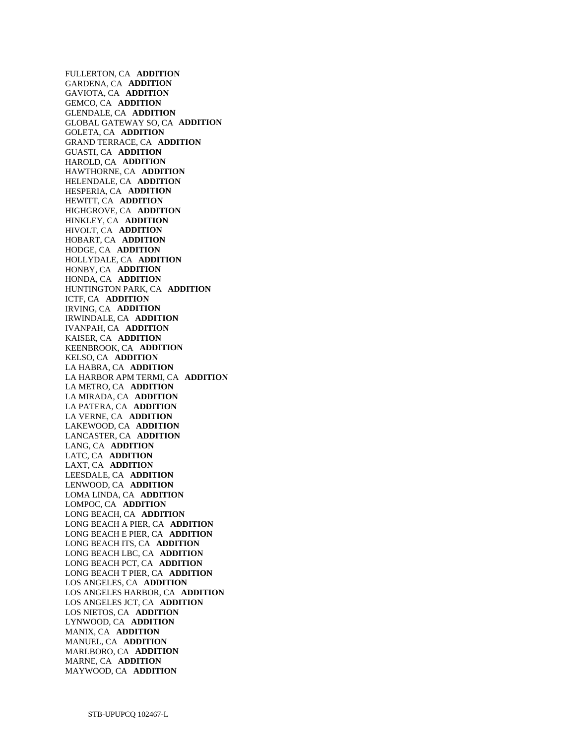FULLERTON, CA **ADDITION**  GARDENA, CA **ADDITION**  GAVIOTA, CA **ADDITION**  GEMCO, CA **ADDITION**  GLENDALE, CA **ADDITION**  GLOBAL GATEWAY SO, CA **ADDITION**  GOLETA, CA **ADDITION**  GRAND TERRACE, CA **ADDITION**  GUASTI, CA **ADDITION**  HAROLD, CA **ADDITION**  HAWTHORNE, CA **ADDITION**  HELENDALE, CA **ADDITION**  HESPERIA, CA **ADDITION**  HEWITT, CA **ADDITION**  HIGHGROVE, CA **ADDITION**  HINKLEY, CA **ADDITION**  HIVOLT, CA **ADDITION**  HOBART, CA **ADDITION**  HODGE, CA **ADDITION**  HOLLYDALE, CA **ADDITION**  HONBY, CA **ADDITION**  HONDA, CA **ADDITION**  HUNTINGTON PARK, CA **ADDITION**  ICTF, CA **ADDITION**  IRVING, CA **ADDITION**  IRWINDALE, CA **ADDITION**  IVANPAH, CA **ADDITION**  KAISER, CA **ADDITION**  KEENBROOK, CA **ADDITION**  KELSO, CA **ADDITION**  LA HABRA, CA **ADDITION**  LA HARBOR APM TERMI, CA **ADDITION**  LA METRO, CA **ADDITION**  LA MIRADA, CA **ADDITION**  LA PATERA, CA **ADDITION**  LA VERNE, CA **ADDITION**  LAKEWOOD, CA **ADDITION**  LANCASTER, CA **ADDITION**  LANG, CA **ADDITION**  LATC, CA **ADDITION**  LAXT, CA **ADDITION**  LEESDALE, CA **ADDITION**  LENWOOD, CA **ADDITION**  LOMA LINDA, CA **ADDITION**  LOMPOC, CA **ADDITION**  LONG BEACH, CA **ADDITION**  LONG BEACH A PIER, CA **ADDITION**  LONG BEACH E PIER, CA **ADDITION**  LONG BEACH ITS, CA **ADDITION**  LONG BEACH LBC, CA **ADDITION**  LONG BEACH PCT, CA **ADDITION**  LONG BEACH T PIER, CA **ADDITION**  LOS ANGELES, CA **ADDITION**  LOS ANGELES HARBOR, CA **ADDITION**  LOS ANGELES JCT, CA **ADDITION**  LOS NIETOS, CA **ADDITION**  LYNWOOD, CA **ADDITION**  MANIX, CA **ADDITION**  MANUEL, CA **ADDITION**  MARLBORO, CA **ADDITION**  MARNE, CA **ADDITION**  MAYWOOD, CA **ADDITION**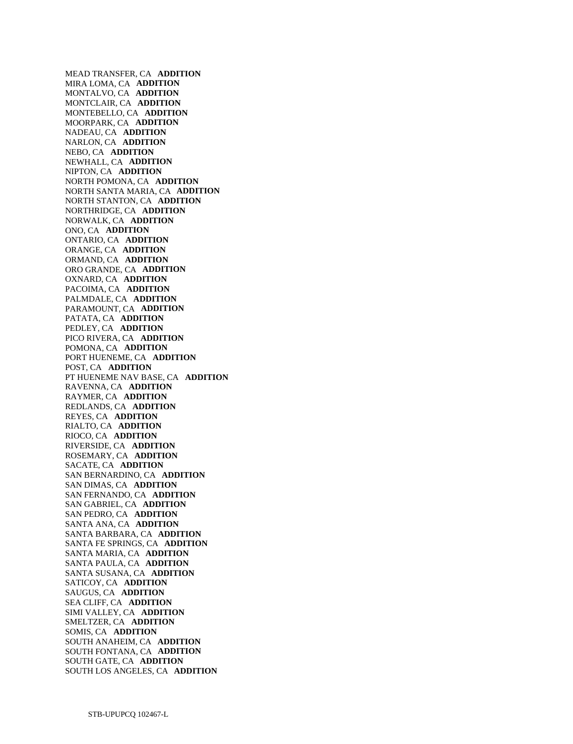MEAD TRANSFER, CA **ADDITION**  MIRA LOMA, CA **ADDITION**  MONTALVO, CA **ADDITION**  MONTCLAIR, CA **ADDITION**  MONTEBELLO, CA **ADDITION**  MOORPARK, CA **ADDITION**  NADEAU, CA **ADDITION**  NARLON, CA **ADDITION**  NEBO, CA **ADDITION**  NEWHALL, CA **ADDITION**  NIPTON, CA **ADDITION**  NORTH POMONA, CA **ADDITION**  NORTH SANTA MARIA, CA **ADDITION**  NORTH STANTON, CA **ADDITION**  NORTHRIDGE, CA **ADDITION**  NORWALK, CA **ADDITION**  ONO, CA **ADDITION**  ONTARIO, CA **ADDITION**  ORANGE, CA **ADDITION**  ORMAND, CA **ADDITION**  ORO GRANDE, CA **ADDITION**  OXNARD, CA **ADDITION**  PACOIMA, CA **ADDITION**  PALMDALE, CA **ADDITION**  PARAMOUNT, CA **ADDITION**  PATATA, CA **ADDITION**  PEDLEY, CA **ADDITION**  PICO RIVERA, CA **ADDITION**  POMONA, CA **ADDITION**  PORT HUENEME, CA **ADDITION**  POST, CA **ADDITION**  PT HUENEME NAV BASE, CA **ADDITION**  RAVENNA, CA **ADDITION**  RAYMER, CA **ADDITION**  REDLANDS, CA **ADDITION**  REYES, CA **ADDITION**  RIALTO, CA **ADDITION**  RIOCO, CA **ADDITION**  RIVERSIDE, CA **ADDITION**  ROSEMARY, CA **ADDITION**  SACATE, CA **ADDITION**  SAN BERNARDINO, CA **ADDITION**  SAN DIMAS, CA **ADDITION**  SAN FERNANDO, CA **ADDITION**  SAN GABRIEL, CA **ADDITION**  SAN PEDRO, CA **ADDITION**  SANTA ANA, CA **ADDITION**  SANTA BARBARA, CA **ADDITION**  SANTA FE SPRINGS, CA **ADDITION**  SANTA MARIA, CA **ADDITION**  SANTA PAULA, CA **ADDITION**  SANTA SUSANA, CA **ADDITION**  SATICOY, CA **ADDITION**  SAUGUS, CA **ADDITION**  SEA CLIFF, CA **ADDITION**  SIMI VALLEY, CA **ADDITION**  SMELTZER, CA **ADDITION**  SOMIS, CA **ADDITION**  SOUTH ANAHEIM, CA **ADDITION**  SOUTH FONTANA, CA **ADDITION**  SOUTH GATE, CA **ADDITION**  SOUTH LOS ANGELES, CA **ADDITION**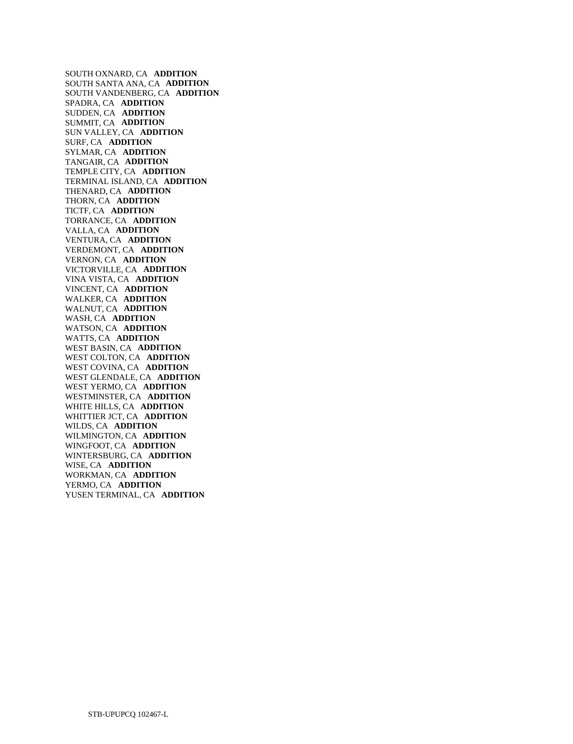SOUTH OXNARD, CA **ADDITION**  SOUTH SANTA ANA, CA **ADDITION**  SOUTH VANDENBERG, CA **ADDITION**  SPADRA, CA **ADDITION**  SUDDEN, CA **ADDITION**  SUMMIT, CA **ADDITION**  SUN VALLEY, CA **ADDITION**  SURF, CA **ADDITION**  SYLMAR, CA **ADDITION**  TANGAIR, CA **ADDITION**  TEMPLE CITY, CA **ADDITION**  TERMINAL ISLAND, CA **ADDITION**  THENARD, CA **ADDITION**  THORN, CA **ADDITION**  TICTF, CA **ADDITION**  TORRANCE, CA **ADDITION**  VALLA, CA **ADDITION**  VENTURA, CA **ADDITION**  VERDEMONT, CA **ADDITION**  VERNON, CA **ADDITION**  VICTORVILLE, CA **ADDITION**  VINA VISTA, CA **ADDITION**  VINCENT, CA **ADDITION**  WALKER, CA **ADDITION**  WALNUT, CA **ADDITION**  WASH, CA **ADDITION**  WATSON, CA **ADDITION**  WATTS, CA **ADDITION**  WEST BASIN, CA **ADDITION**  WEST COLTON, CA **ADDITION**  WEST COVINA, CA **ADDITION**  WEST GLENDALE, CA **ADDITION**  WEST YERMO, CA **ADDITION**  WESTMINSTER, CA **ADDITION**  WHITE HILLS, CA **ADDITION**  WHITTIER JCT, CA **ADDITION**  WILDS, CA **ADDITION**  WILMINGTON, CA **ADDITION**  WINGFOOT, CA **ADDITION**  WINTERSBURG, CA **ADDITION**  WISE, CA **ADDITION**  WORKMAN, CA **ADDITION**  YERMO, CA **ADDITION**  YUSEN TERMINAL, CA **ADDITION**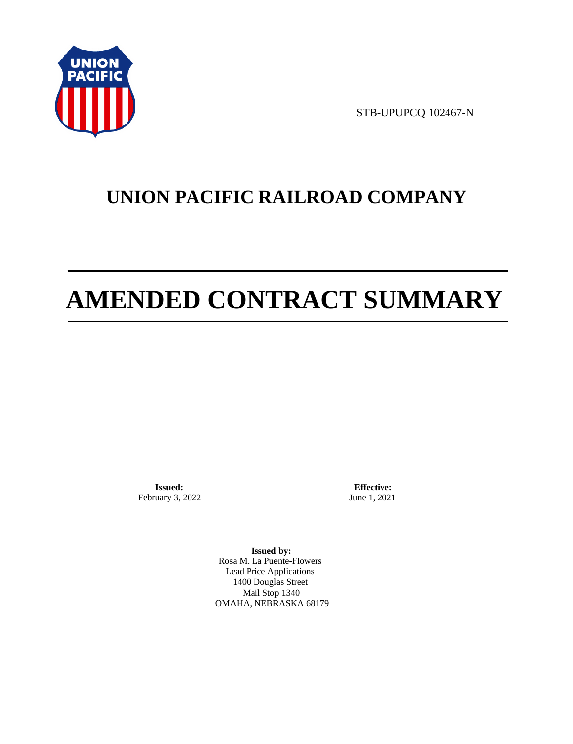

STB-UPUPCQ 102467-N

# **UNION PACIFIC RAILROAD COMPANY**

# **AMENDED CONTRACT SUMMARY**

**Issued:**  February 3, 2022

**Effective:** June 1, 2021

**Issued by:**  Rosa M. La Puente-Flowers Lead Price Applications 1400 Douglas Street Mail Stop 1340 OMAHA, NEBRASKA 68179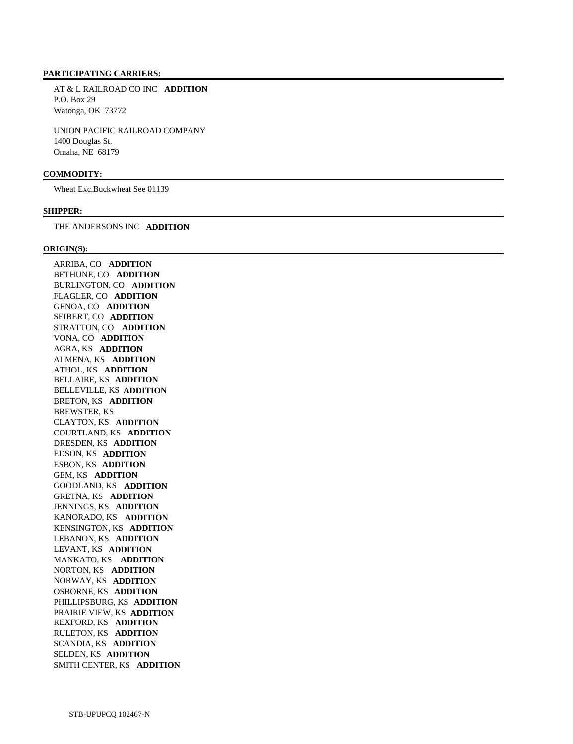#### **PARTICIPATING CARRIERS:**

 AT & L RAILROAD CO INC **ADDITION**  P.O. Box 29 Watonga, OK 73772

 UNION PACIFIC RAILROAD COMPANY 1400 Douglas St. Omaha, NE 68179

### **COMMODITY:**

Wheat Exc.Buckwheat See 01139

#### **SHIPPER:**

THE ANDERSONS INC **ADDITION** 

#### **ORIGIN(S):**

 ARRIBA, CO **ADDITION**  BETHUNE, CO **ADDITION**  BURLINGTON, CO **ADDITION**  FLAGLER, CO **ADDITION**  GENOA, CO **ADDITION**  SEIBERT, CO **ADDITION**  STRATTON, CO **ADDITION**  VONA, CO **ADDITION**  AGRA, KS **ADDITION**  ALMENA, KS **ADDITION**  ATHOL, KS **ADDITION**  BELLAIRE, KS **ADDITION**  BELLEVILLE, KS **ADDITION**  BRETON, KS **ADDITION**  BREWSTER, KS CLAYTON, KS **ADDITION**  COURTLAND, KS **ADDITION**  DRESDEN, KS **ADDITION**  EDSON, KS **ADDITION**  ESBON, KS **ADDITION**  GEM, KS **ADDITION**  GOODLAND, KS **ADDITION**  GRETNA, KS **ADDITION**  JENNINGS, KS **ADDITION**  KANORADO, KS **ADDITION**  KENSINGTON, KS **ADDITION**  LEBANON, KS **ADDITION**  LEVANT, KS **ADDITION**  MANKATO, KS **ADDITION**  NORTON, KS **ADDITION**  NORWAY, KS **ADDITION**  OSBORNE, KS **ADDITION**  PHILLIPSBURG, KS **ADDITION**  PRAIRIE VIEW, KS **ADDITION**  REXFORD, KS **ADDITION**  RULETON, KS **ADDITION**  SCANDIA, KS **ADDITION**  SELDEN, KS **ADDITION**  SMITH CENTER, KS **ADDITION**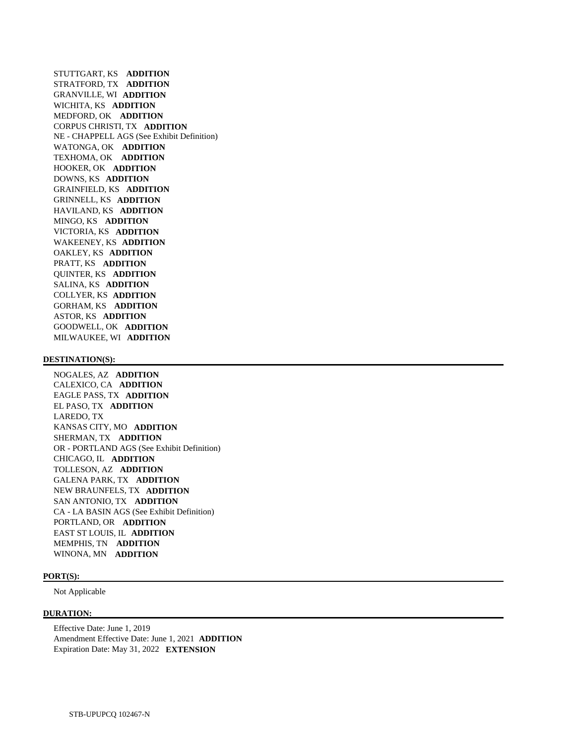STUTTGART, KS **ADDITION**  STRATFORD, TX **ADDITION**  GRANVILLE, WI **ADDITION**  WICHITA, KS **ADDITION**  MEDFORD, OK **ADDITION**  CORPUS CHRISTI, TX **ADDITION**  NE - CHAPPELL AGS (See Exhibit Definition) WATONGA, OK **ADDITION**  TEXHOMA, OK **ADDITION**  HOOKER, OK **ADDITION**  DOWNS, KS **ADDITION**  GRAINFIELD, KS **ADDITION**  GRINNELL, KS **ADDITION**  HAVILAND, KS **ADDITION**  MINGO, KS **ADDITION**  VICTORIA, KS **ADDITION**  WAKEENEY, KS **ADDITION**  OAKLEY, KS **ADDITION**  PRATT, KS **ADDITION**  QUINTER, KS **ADDITION**  SALINA, KS **ADDITION**  COLLYER, KS **ADDITION**  GORHAM, KS **ADDITION**  ASTOR, KS **ADDITION**  GOODWELL, OK **ADDITION**  MILWAUKEE, WI **ADDITION** 

#### **DESTINATION(S):**

 NOGALES, AZ **ADDITION**  CALEXICO, CA **ADDITION**  EAGLE PASS, TX **ADDITION**  EL PASO, TX **ADDITION**  LAREDO, TX KANSAS CITY, MO **ADDITION**  SHERMAN, TX **ADDITION**  OR - PORTLAND AGS (See Exhibit Definition) CHICAGO, IL **ADDITION**  TOLLESON, AZ **ADDITION**  GALENA PARK, TX **ADDITION**  NEW BRAUNFELS, TX **ADDITION**  SAN ANTONIO, TX **ADDITION**  CA - LA BASIN AGS (See Exhibit Definition) PORTLAND, OR **ADDITION**  EAST ST LOUIS, IL **ADDITION**  MEMPHIS, TN **ADDITION**  WINONA, MN **ADDITION** 

#### **PORT(S):**

Not Applicable

#### **DURATION:**

 Effective Date: June 1, 2019 Amendment Effective Date: June 1, 2021 **ADDITION**  Expiration Date: May 31, 2022 **EXTENSION**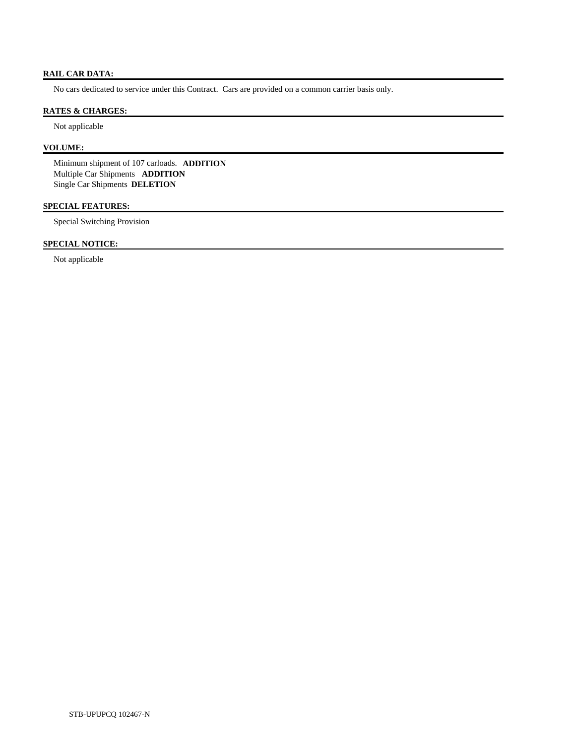### **RAIL CAR DATA:**

No cars dedicated to service under this Contract. Cars are provided on a common carrier basis only.

#### **RATES & CHARGES:**

Not applicable

# **VOLUME:**

 Minimum shipment of 107 carloads. **ADDITION**  Multiple Car Shipments **ADDITION**  Single Car Shipments **DELETION** 

# **SPECIAL FEATURES:**

Special Switching Provision

# **SPECIAL NOTICE:**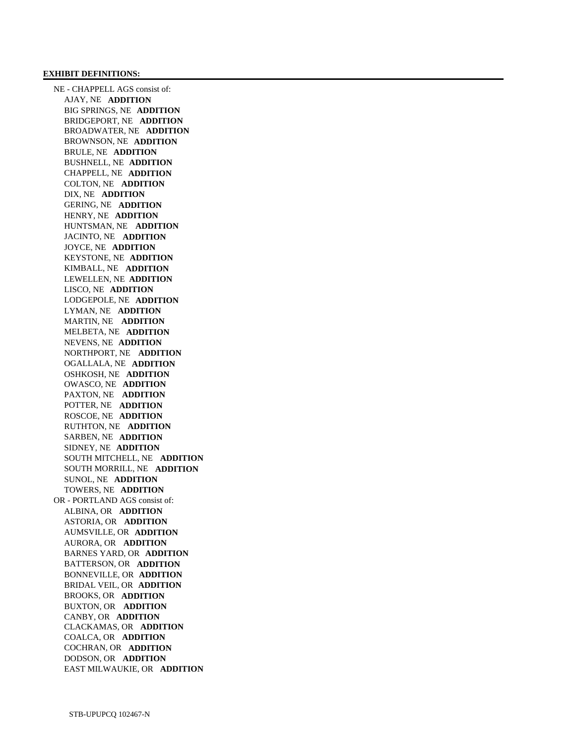#### **EXHIBIT DEFINITIONS:**

 NE - CHAPPELL AGS consist of: AJAY, NE **ADDITION**  BIG SPRINGS, NE **ADDITION**  BRIDGEPORT, NE **ADDITION**  BROADWATER, NE **ADDITION**  BROWNSON, NE **ADDITION**  BRULE, NE **ADDITION**  BUSHNELL, NE **ADDITION**  CHAPPELL, NE **ADDITION**  COLTON, NE **ADDITION**  DIX, NE **ADDITION**  GERING, NE **ADDITION**  HENRY, NE **ADDITION**  HUNTSMAN, NE **ADDITION**  JACINTO, NE **ADDITION**  JOYCE, NE **ADDITION**  KEYSTONE, NE **ADDITION**  KIMBALL, NE **ADDITION**  LEWELLEN, NE **ADDITION**  LISCO, NE **ADDITION**  LODGEPOLE, NE **ADDITION**  LYMAN, NE **ADDITION**  MARTIN, NE **ADDITION**  MELBETA, NE **ADDITION**  NEVENS, NE **ADDITION**  NORTHPORT, NE **ADDITION**  OGALLALA, NE **ADDITION**  OSHKOSH, NE **ADDITION**  OWASCO, NE **ADDITION**  PAXTON, NE **ADDITION**  POTTER, NE **ADDITION**  ROSCOE, NE **ADDITION**  RUTHTON, NE **ADDITION**  SARBEN, NE **ADDITION**  SIDNEY, NE **ADDITION**  SOUTH MITCHELL, NE **ADDITION**  SOUTH MORRILL, NE **ADDITION**  SUNOL, NE **ADDITION**  TOWERS, NE **ADDITION**  OR - PORTLAND AGS consist of: ALBINA, OR **ADDITION**  ASTORIA, OR **ADDITION**  AUMSVILLE, OR **ADDITION**  AURORA, OR **ADDITION**  BARNES YARD, OR **ADDITION**  BATTERSON, OR **ADDITION**  BONNEVILLE, OR **ADDITION**  BRIDAL VEIL, OR **ADDITION**  BROOKS, OR **ADDITION**  BUXTON, OR **ADDITION**  CANBY, OR **ADDITION**  CLACKAMAS, OR **ADDITION**  COALCA, OR **ADDITION**  COCHRAN, OR **ADDITION**  DODSON, OR **ADDITION**  EAST MILWAUKIE, OR **ADDITION**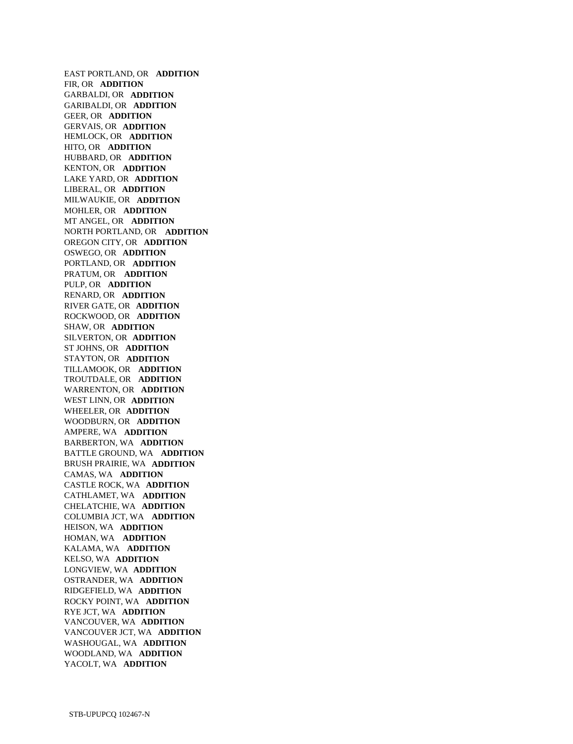EAST PORTLAND, OR **ADDITION**  FIR, OR **ADDITION**  GARBALDI, OR **ADDITION**  GARIBALDI, OR **ADDITION**  GEER, OR **ADDITION**  GERVAIS, OR **ADDITION**  HEMLOCK, OR **ADDITION**  HITO, OR **ADDITION**  HUBBARD, OR **ADDITION**  KENTON, OR **ADDITION**  LAKE YARD, OR **ADDITION**  LIBERAL, OR **ADDITION**  MILWAUKIE, OR **ADDITION**  MOHLER, OR **ADDITION**  MT ANGEL, OR **ADDITION**  NORTH PORTLAND, OR **ADDITION**  OREGON CITY, OR **ADDITION**  OSWEGO, OR **ADDITION**  PORTLAND, OR **ADDITION**  PRATUM, OR **ADDITION**  PULP, OR **ADDITION**  RENARD, OR **ADDITION**  RIVER GATE, OR **ADDITION**  ROCKWOOD, OR **ADDITION**  SHAW, OR **ADDITION**  SILVERTON, OR **ADDITION**  ST JOHNS, OR **ADDITION**  STAYTON, OR **ADDITION**  TILLAMOOK, OR **ADDITION**  TROUTDALE, OR **ADDITION**  WARRENTON, OR **ADDITION**  WEST LINN, OR **ADDITION**  WHEELER, OR **ADDITION**  WOODBURN, OR **ADDITION**  AMPERE, WA **ADDITION**  BARBERTON, WA **ADDITION**  BATTLE GROUND, WA **ADDITION**  BRUSH PRAIRIE, WA **ADDITION**  CAMAS, WA **ADDITION**  CASTLE ROCK, WA **ADDITION**  CATHLAMET, WA **ADDITION**  CHELATCHIE, WA **ADDITION**  COLUMBIA JCT, WA **ADDITION**  HEISON, WA **ADDITION**  HOMAN, WA **ADDITION**  KALAMA, WA **ADDITION**  KELSO, WA **ADDITION**  LONGVIEW, WA **ADDITION**  OSTRANDER, WA **ADDITION**  RIDGEFIELD, WA **ADDITION**  ROCKY POINT, WA **ADDITION**  RYE JCT, WA **ADDITION**  VANCOUVER, WA **ADDITION**  VANCOUVER JCT, WA **ADDITION**  WASHOUGAL, WA **ADDITION**  WOODLAND, WA **ADDITION**  YACOLT, WA **ADDITION**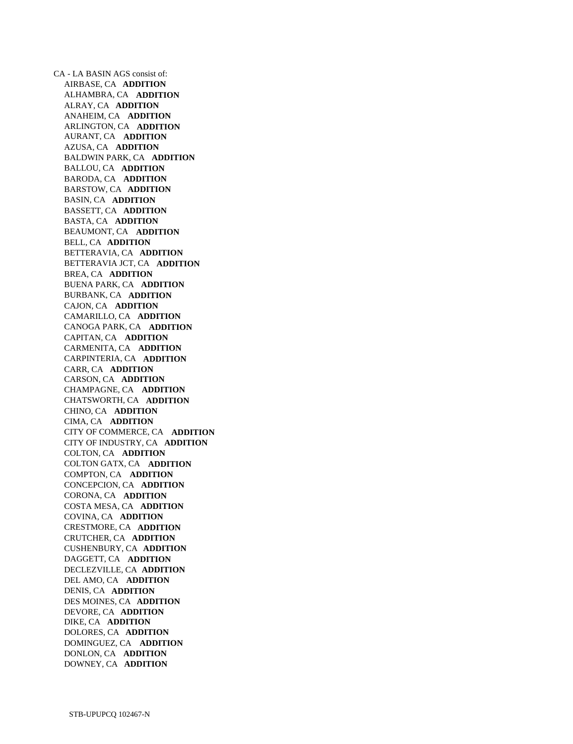CA - LA BASIN AGS consist of: AIRBASE, CA **ADDITION**  ALHAMBRA, CA **ADDITION**  ALRAY, CA **ADDITION**  ANAHEIM, CA **ADDITION**  ARLINGTON, CA **ADDITION**  AURANT, CA **ADDITION**  AZUSA, CA **ADDITION**  BALDWIN PARK, CA **ADDITION**  BALLOU, CA **ADDITION**  BARODA, CA **ADDITION**  BARSTOW, CA **ADDITION**  BASIN, CA **ADDITION**  BASSETT, CA **ADDITION**  BASTA, CA **ADDITION**  BEAUMONT, CA **ADDITION**  BELL, CA **ADDITION**  BETTERAVIA, CA **ADDITION**  BETTERAVIA JCT, CA **ADDITION**  BREA, CA **ADDITION**  BUENA PARK, CA **ADDITION**  BURBANK, CA **ADDITION**  CAJON, CA **ADDITION**  CAMARILLO, CA **ADDITION**  CANOGA PARK, CA **ADDITION**  CAPITAN, CA **ADDITION**  CARMENITA, CA **ADDITION**  CARPINTERIA, CA **ADDITION**  CARR, CA **ADDITION**  CARSON, CA **ADDITION**  CHAMPAGNE, CA **ADDITION**  CHATSWORTH, CA **ADDITION**  CHINO, CA **ADDITION**  CIMA, CA **ADDITION**  CITY OF COMMERCE, CA **ADDITION**  CITY OF INDUSTRY, CA **ADDITION**  COLTON, CA **ADDITION**  COLTON GATX, CA **ADDITION**  COMPTON, CA **ADDITION**  CONCEPCION, CA **ADDITION**  CORONA, CA **ADDITION**  COSTA MESA, CA **ADDITION**  COVINA, CA **ADDITION**  CRESTMORE, CA **ADDITION**  CRUTCHER, CA **ADDITION**  CUSHENBURY, CA **ADDITION**  DAGGETT, CA **ADDITION**  DECLEZVILLE, CA **ADDITION**  DEL AMO, CA **ADDITION**  DENIS, CA **ADDITION**  DES MOINES, CA **ADDITION**  DEVORE, CA **ADDITION**  DIKE, CA **ADDITION**  DOLORES, CA **ADDITION**  DOMINGUEZ, CA **ADDITION**  DONLON, CA **ADDITION**  DOWNEY, CA **ADDITION**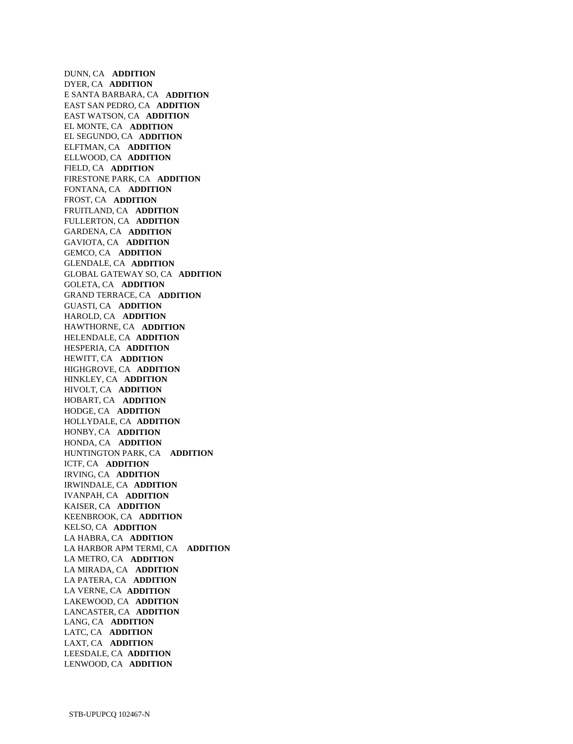DUNN, CA **ADDITION**  DYER, CA **ADDITION**  E SANTA BARBARA, CA **ADDITION**  EAST SAN PEDRO, CA **ADDITION**  EAST WATSON, CA **ADDITION**  EL MONTE, CA **ADDITION**  EL SEGUNDO, CA **ADDITION**  ELFTMAN, CA **ADDITION**  ELLWOOD, CA **ADDITION**  FIELD, CA **ADDITION**  FIRESTONE PARK, CA **ADDITION**  FONTANA, CA **ADDITION**  FROST, CA **ADDITION**  FRUITLAND, CA **ADDITION**  FULLERTON, CA **ADDITION**  GARDENA, CA **ADDITION**  GAVIOTA, CA **ADDITION**  GEMCO, CA **ADDITION**  GLENDALE, CA **ADDITION**  GLOBAL GATEWAY SO, CA **ADDITION**  GOLETA, CA **ADDITION**  GRAND TERRACE, CA **ADDITION**  GUASTI, CA **ADDITION**  HAROLD, CA **ADDITION**  HAWTHORNE, CA **ADDITION**  HELENDALE, CA **ADDITION**  HESPERIA, CA **ADDITION**  HEWITT, CA **ADDITION**  HIGHGROVE, CA **ADDITION**  HINKLEY, CA **ADDITION**  HIVOLT, CA **ADDITION**  HOBART, CA **ADDITION**  HODGE, CA **ADDITION**  HOLLYDALE, CA **ADDITION**  HONBY, CA **ADDITION**  HONDA, CA **ADDITION**  HUNTINGTON PARK, CA **ADDITION**  ICTF, CA **ADDITION**  IRVING, CA **ADDITION**  IRWINDALE, CA **ADDITION**  IVANPAH, CA **ADDITION**  KAISER, CA **ADDITION**  KEENBROOK, CA **ADDITION**  KELSO, CA **ADDITION**  LA HABRA, CA **ADDITION**  LA HARBOR APM TERMI, CA **ADDITION**  LA METRO, CA **ADDITION**  LA MIRADA, CA **ADDITION**  LA PATERA, CA **ADDITION**  LA VERNE, CA **ADDITION**  LAKEWOOD, CA **ADDITION**  LANCASTER, CA **ADDITION**  LANG, CA **ADDITION**  LATC, CA **ADDITION**  LAXT, CA **ADDITION**  LEESDALE, CA **ADDITION**  LENWOOD, CA **ADDITION**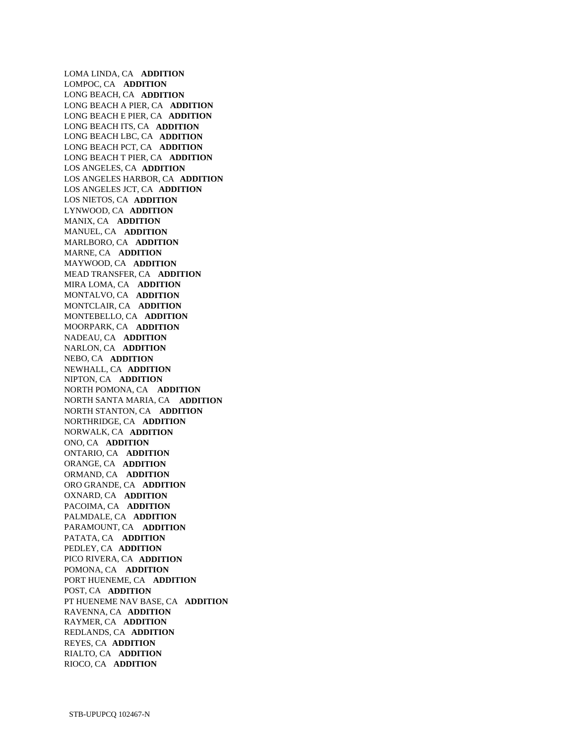LOMA LINDA, CA **ADDITION**  LOMPOC, CA **ADDITION**  LONG BEACH, CA **ADDITION**  LONG BEACH A PIER, CA **ADDITION**  LONG BEACH E PIER, CA **ADDITION**  LONG BEACH ITS, CA **ADDITION**  LONG BEACH LBC, CA **ADDITION**  LONG BEACH PCT, CA **ADDITION**  LONG BEACH T PIER, CA **ADDITION**  LOS ANGELES, CA **ADDITION**  LOS ANGELES HARBOR, CA **ADDITION**  LOS ANGELES JCT, CA **ADDITION**  LOS NIETOS, CA **ADDITION**  LYNWOOD, CA **ADDITION**  MANIX, CA **ADDITION**  MANUEL, CA **ADDITION**  MARLBORO, CA **ADDITION**  MARNE, CA **ADDITION**  MAYWOOD, CA **ADDITION**  MEAD TRANSFER, CA **ADDITION**  MIRA LOMA, CA **ADDITION**  MONTALVO, CA **ADDITION**  MONTCLAIR, CA **ADDITION**  MONTEBELLO, CA **ADDITION**  MOORPARK, CA **ADDITION**  NADEAU, CA **ADDITION**  NARLON, CA **ADDITION**  NEBO, CA **ADDITION**  NEWHALL, CA **ADDITION**  NIPTON, CA **ADDITION**  NORTH POMONA, CA **ADDITION**  NORTH SANTA MARIA, CA **ADDITION**  NORTH STANTON, CA **ADDITION**  NORTHRIDGE, CA **ADDITION**  NORWALK, CA **ADDITION**  ONO, CA **ADDITION**  ONTARIO, CA **ADDITION**  ORANGE, CA **ADDITION**  ORMAND, CA **ADDITION**  ORO GRANDE, CA **ADDITION**  OXNARD, CA **ADDITION**  PACOIMA, CA **ADDITION**  PALMDALE, CA **ADDITION**  PARAMOUNT, CA **ADDITION**  PATATA, CA **ADDITION**  PEDLEY, CA **ADDITION**  PICO RIVERA, CA **ADDITION**  POMONA, CA **ADDITION**  PORT HUENEME, CA **ADDITION**  POST, CA **ADDITION**  PT HUENEME NAV BASE, CA **ADDITION**  RAVENNA, CA **ADDITION**  RAYMER, CA **ADDITION**  REDLANDS, CA **ADDITION**  REYES, CA **ADDITION**  RIALTO, CA **ADDITION**  RIOCO, CA **ADDITION**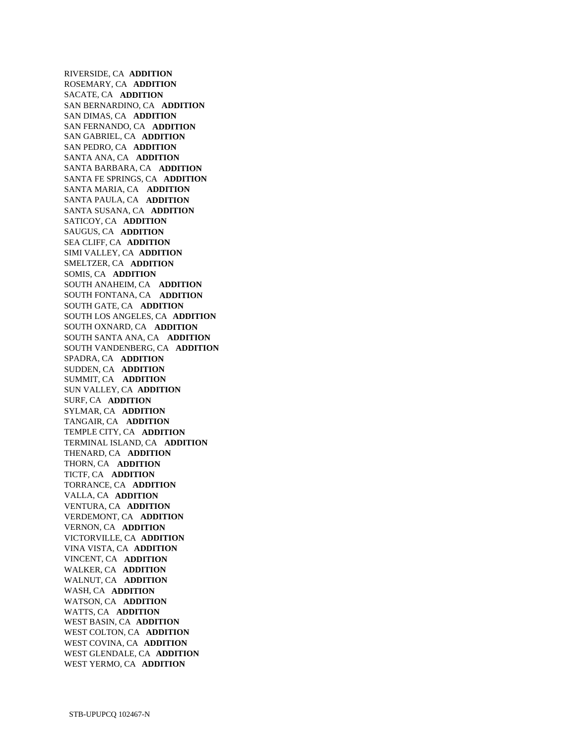RIVERSIDE, CA **ADDITION**  ROSEMARY, CA **ADDITION**  SACATE, CA **ADDITION**  SAN BERNARDINO, CA **ADDITION**  SAN DIMAS, CA **ADDITION**  SAN FERNANDO, CA **ADDITION**  SAN GABRIEL, CA **ADDITION**  SAN PEDRO, CA **ADDITION**  SANTA ANA, CA **ADDITION**  SANTA BARBARA, CA **ADDITION**  SANTA FE SPRINGS, CA **ADDITION**  SANTA MARIA, CA **ADDITION**  SANTA PAULA, CA **ADDITION**  SANTA SUSANA, CA **ADDITION**  SATICOY, CA **ADDITION**  SAUGUS, CA **ADDITION**  SEA CLIFF, CA **ADDITION**  SIMI VALLEY, CA **ADDITION**  SMELTZER, CA **ADDITION**  SOMIS, CA **ADDITION**  SOUTH ANAHEIM, CA **ADDITION**  SOUTH FONTANA, CA **ADDITION**  SOUTH GATE, CA **ADDITION**  SOUTH LOS ANGELES, CA **ADDITION**  SOUTH OXNARD, CA **ADDITION**  SOUTH SANTA ANA, CA **ADDITION**  SOUTH VANDENBERG, CA **ADDITION**  SPADRA, CA **ADDITION**  SUDDEN, CA **ADDITION**  SUMMIT, CA **ADDITION**  SUN VALLEY, CA **ADDITION**  SURF, CA **ADDITION**  SYLMAR, CA **ADDITION**  TANGAIR, CA **ADDITION**  TEMPLE CITY, CA **ADDITION**  TERMINAL ISLAND, CA **ADDITION**  THENARD, CA **ADDITION**  THORN, CA **ADDITION**  TICTF, CA **ADDITION**  TORRANCE, CA **ADDITION**  VALLA, CA **ADDITION**  VENTURA, CA **ADDITION**  VERDEMONT, CA **ADDITION**  VERNON, CA **ADDITION**  VICTORVILLE, CA **ADDITION**  VINA VISTA, CA **ADDITION**  VINCENT, CA **ADDITION**  WALKER, CA **ADDITION**  WALNUT, CA **ADDITION**  WASH, CA **ADDITION**  WATSON, CA **ADDITION**  WATTS, CA **ADDITION**  WEST BASIN, CA **ADDITION**  WEST COLTON, CA **ADDITION**  WEST COVINA, CA **ADDITION**  WEST GLENDALE, CA **ADDITION**  WEST YERMO, CA **ADDITION**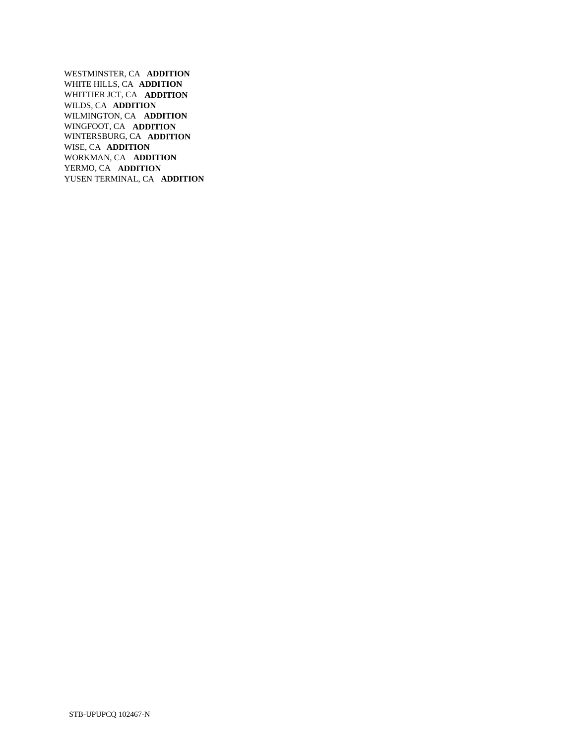WESTMINSTER, CA **ADDITION**  WHITE HILLS, CA **ADDITION**  WHITTIER JCT, CA **ADDITION**  WILDS, CA **ADDITION**  WILMINGTON, CA **ADDITION**  WINGFOOT, CA **ADDITION**  WINTERSBURG, CA **ADDITION**  WISE, CA **ADDITION**  WORKMAN, CA **ADDITION**  YERMO, CA **ADDITION**  YUSEN TERMINAL, CA **ADDITION**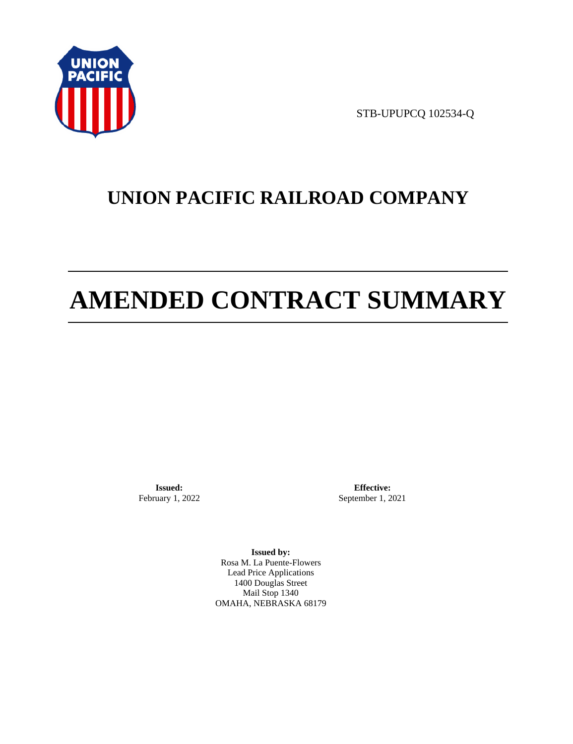

STB-UPUPCQ 102534-Q

# **UNION PACIFIC RAILROAD COMPANY**

# **AMENDED CONTRACT SUMMARY**

**Issued:**  February 1, 2022

**Effective:** September 1, 2021

**Issued by:**  Rosa M. La Puente-Flowers Lead Price Applications 1400 Douglas Street Mail Stop 1340 OMAHA, NEBRASKA 68179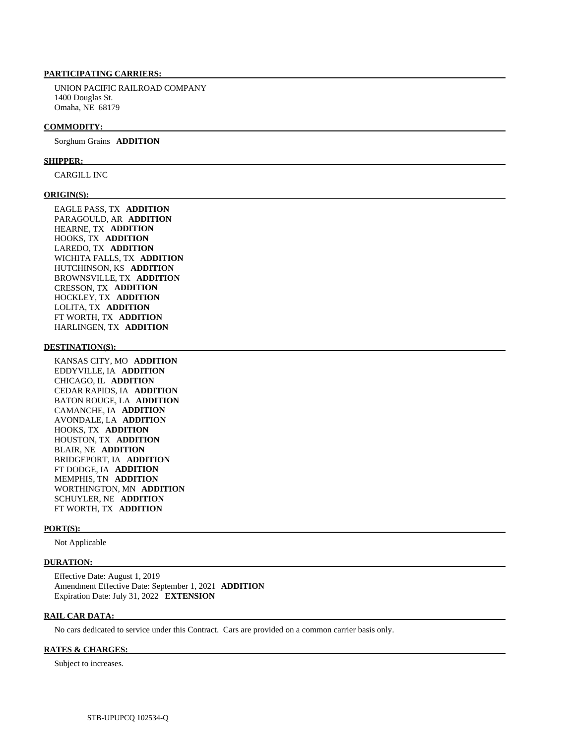#### **PARTICIPATING CARRIERS:**

 UNION PACIFIC RAILROAD COMPANY 1400 Douglas St. Omaha, NE 68179

#### **COMMODITY:**

Sorghum Grains **ADDITION** 

#### **SHIPPER:**

CARGILL INC

#### **ORIGIN(S):**

 EAGLE PASS, TX **ADDITION**  PARAGOULD, AR **ADDITION**  HEARNE, TX **ADDITION**  HOOKS, TX **ADDITION**  LAREDO, TX **ADDITION**  WICHITA FALLS, TX **ADDITION**  HUTCHINSON, KS **ADDITION**  BROWNSVILLE, TX **ADDITION**  CRESSON, TX **ADDITION**  HOCKLEY, TX **ADDITION**  LOLITA, TX **ADDITION**  FT WORTH, TX **ADDITION**  HARLINGEN, TX **ADDITION** 

#### **DESTINATION(S):**

 KANSAS CITY, MO **ADDITION**  EDDYVILLE, IA **ADDITION**  CHICAGO, IL **ADDITION**  CEDAR RAPIDS, IA **ADDITION**  BATON ROUGE, LA **ADDITION**  CAMANCHE, IA **ADDITION**  AVONDALE, LA **ADDITION**  HOOKS, TX **ADDITION**  HOUSTON, TX **ADDITION**  BLAIR, NE **ADDITION**  BRIDGEPORT, IA **ADDITION**  FT DODGE, IA **ADDITION**  MEMPHIS, TN **ADDITION**  WORTHINGTON, MN **ADDITION**  SCHUYLER, NE **ADDITION**  FT WORTH, TX **ADDITION** 

#### **PORT(S):**

Not Applicable

#### **DURATION:**

 Effective Date: August 1, 2019 Amendment Effective Date: September 1, 2021 **ADDITION**  Expiration Date: July 31, 2022 **EXTENSION** 

#### **RAIL CAR DATA:**

No cars dedicated to service under this Contract. Cars are provided on a common carrier basis only.

#### **RATES & CHARGES:**

Subject to increases.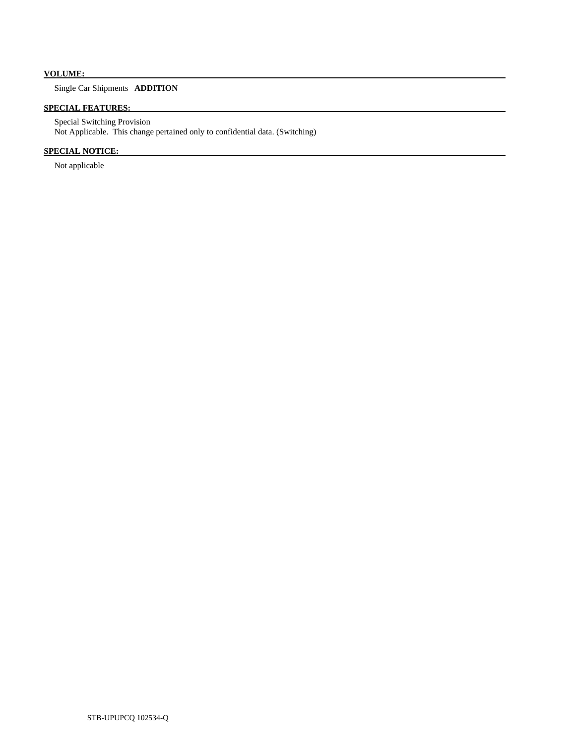# **VOLUME:**

# Single Car Shipments **ADDITION**

# **SPECIAL FEATURES:**

 Special Switching Provision Not Applicable. This change pertained only to confidential data. (Switching)

# **SPECIAL NOTICE:**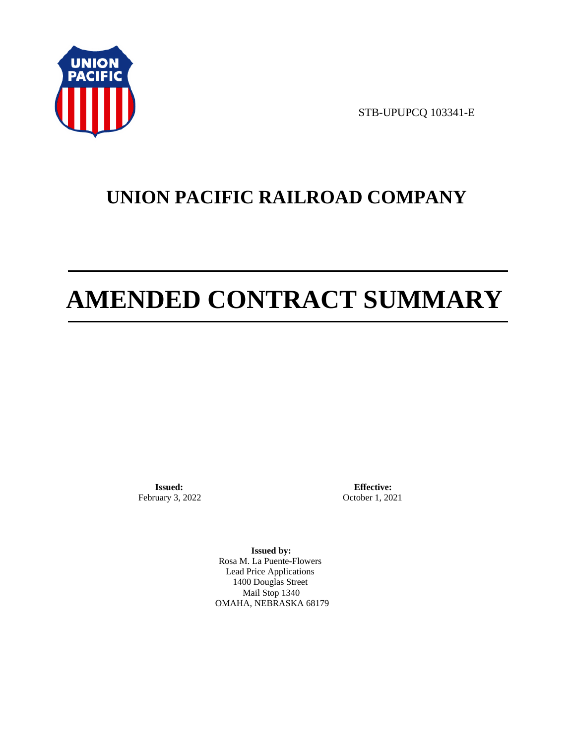

STB-UPUPCQ 103341-E

# **UNION PACIFIC RAILROAD COMPANY**

# **AMENDED CONTRACT SUMMARY**

**Issued:**  February 3, 2022

**Effective:** October 1, 2021

**Issued by:**  Rosa M. La Puente-Flowers Lead Price Applications 1400 Douglas Street Mail Stop 1340 OMAHA, NEBRASKA 68179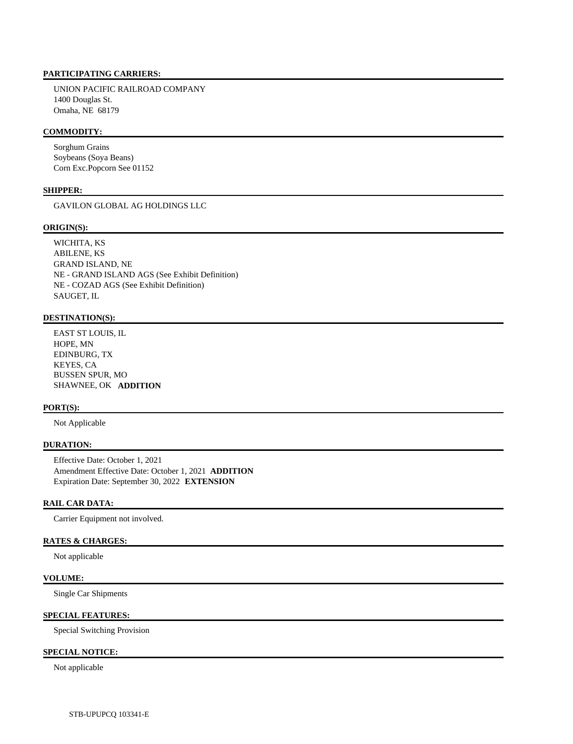## **PARTICIPATING CARRIERS:**

 UNION PACIFIC RAILROAD COMPANY 1400 Douglas St. Omaha, NE 68179

#### **COMMODITY:**

 Sorghum Grains Soybeans (Soya Beans) Corn Exc.Popcorn See 01152

#### **SHIPPER:**

GAVILON GLOBAL AG HOLDINGS LLC

#### **ORIGIN(S):**

 WICHITA, KS ABILENE, KS GRAND ISLAND, NE NE - GRAND ISLAND AGS (See Exhibit Definition) NE - COZAD AGS (See Exhibit Definition) SAUGET, IL

# **DESTINATION(S):**

 EAST ST LOUIS, IL HOPE, MN EDINBURG, TX KEYES, CA BUSSEN SPUR, MO SHAWNEE, OK **ADDITION** 

#### **PORT(S):**

Not Applicable

#### **DURATION:**

 Effective Date: October 1, 2021 Amendment Effective Date: October 1, 2021 **ADDITION**  Expiration Date: September 30, 2022 **EXTENSION** 

## **RAIL CAR DATA:**

Carrier Equipment not involved.

#### **RATES & CHARGES:**

Not applicable

#### **VOLUME:**

Single Car Shipments

#### **SPECIAL FEATURES:**

Special Switching Provision

## **SPECIAL NOTICE:**